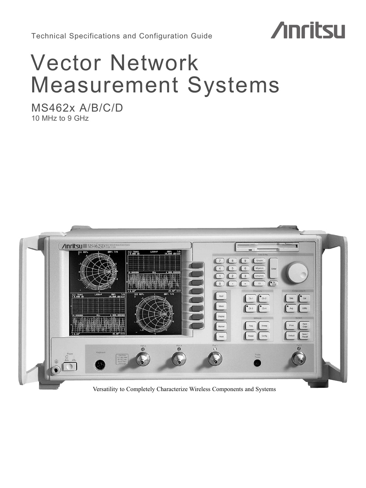Technical Specifications and Configuration Guide

# **Anritsu**

# Vector Network Measurement Systems

MS462x A/B/C/D 10 MHz to 9 GHz

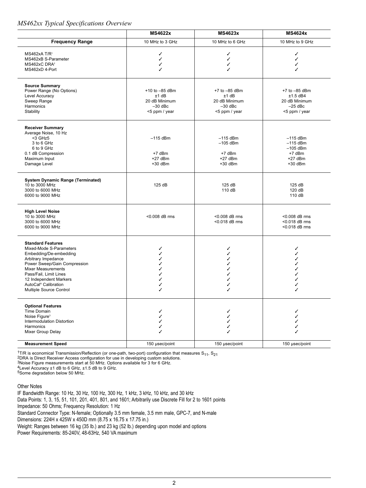## *MS462xx Typical Specifications Overview*

|                                                                                                                                                                                                                                                                                      | <b>MS4622x</b>                                                             | <b>MS4623x</b>                                                        | <b>MS4624x</b>                                                                 |
|--------------------------------------------------------------------------------------------------------------------------------------------------------------------------------------------------------------------------------------------------------------------------------------|----------------------------------------------------------------------------|-----------------------------------------------------------------------|--------------------------------------------------------------------------------|
| <b>Frequency Range</b>                                                                                                                                                                                                                                                               | 10 MHz to 3 GHz                                                            | 10 MHz to 6 GHz                                                       | 10 MHz to 9 GHz                                                                |
| MS462xA T/R <sup>1</sup><br>MS462xB S-Parameter<br>MS462xC DRA <sup>2</sup><br>MS462xD 4-Port                                                                                                                                                                                        | ✓<br>✓<br>✓                                                                | ✓<br>✓<br>✓<br>✓                                                      | ✓<br>✓<br>✓                                                                    |
| <b>Source Summary</b><br>Power Range (No Options)<br>Level Accuracy<br>Sweep Range<br>Harmonics<br>Stability                                                                                                                                                                         | +10 to $-85$ dBm<br>$±1$ dB<br>20 dB Minimum<br>$-30$ dBc<br><5 ppm / year | +7 to -85 dBm<br>±1 dB<br>20 dB Minimum<br>$-30$ dBc<br><5 ppm / year | $+7$ to $-85$ dBm<br>$±1.5$ dB4<br>20 dB Minimum<br>$-25$ dBc<br><5 ppm / year |
| <b>Receiver Summary</b><br>Average Noise, 10 Hz<br><3 GHz5<br>3 to 6 GHz<br>6 to 9 GHz<br>0.1 dB Compression<br>Maximum Input<br>Damage Level                                                                                                                                        | $-115$ dBm<br>$+7$ dBm<br>$+27$ dBm<br>$+30$ dBm                           | $-115$ dBm<br>$-105$ dBm<br>$+7$ dBm<br>$+27$ dBm<br>+30 dBm          | $-115$ dBm<br>$-115$ dBm<br>$-105$ dBm<br>$+7$ dBm<br>$+27$ dBm<br>$+30$ dBm   |
| <b>System Dynamic Range (Terminated)</b><br>10 to 3000 MHz<br>3000 to 6000 MHz<br>6000 to 9000 MHz                                                                                                                                                                                   | 125 dB                                                                     | 125 dB<br>110 dB                                                      | 125 dB<br>120 dB<br>110 dB                                                     |
| <b>High Level Noise</b><br>10 to 3000 MHz<br>3000 to 6000 MHz<br>6000 to 9000 MHz                                                                                                                                                                                                    | <0.008 dB rms                                                              | <0.008 dB rms<br><0.018 dB rms                                        | <0.008 dB rms<br><0.018 dB rms<br><0.018 dB rms                                |
| <b>Standard Features</b><br>Mixed-Mode S-Parameters<br>Embedding/De-embedding<br>Arbitrary Impedance<br>Power Sweep/Gain Compression<br><b>Mixer Measurements</b><br>Pass/Fail, Limit Lines<br>12 Independent Markers<br>AutoCal <sup>®</sup> Calibration<br>Multiple Source Control | ✓<br>✓<br>✓<br>✓<br>✓<br>✓<br>J<br>✓                                       | ✓<br>✓<br>✓<br>✓<br>✓<br>✓<br>✓<br>J                                  | ✓                                                                              |
| <b>Optional Features</b><br>Time Domain<br>Noise Figure <sup>3</sup><br>Intermodulation Distortion<br>Harmonics<br>Mixer Group Delay                                                                                                                                                 | ✓<br>✓<br>✓                                                                | ✓<br>✓<br>✓<br>✓                                                      |                                                                                |
| <b>Measurement Speed</b>                                                                                                                                                                                                                                                             | 150 µsec/point                                                             | 150 µsec/point                                                        | 150 µsec/point                                                                 |

 $^{1}$ T/R is economical Transmission/Reflection (or one-path, two-port) configuration that measures S<sub>11</sub>, S<sub>21</sub><br><sup>2</sup>DRA is Direct Receiver Access configuration for use in developing custom solutions.

3Noise Figure measurements start at 50 MHz. Options available for 3 for 6 GHz.

4Level Accuracy ±1 dB to 6 GHz, ±1.5 dB to 9 GHz.

<sup>5</sup>Some degradation below 50 MHz.

Other Notes

IF Bandwidth Range: 10 Hz, 30 Hz, 100 Hz, 300 Hz, 1 kHz, 3 kHz, 10 kHz, and 30 kHz Data Points: 1, 3, 15, 51, 101, 201, 401, 801, and 1601; Arbitrarily use Discrete Fill for 2 to 1601 points Impedance: 50 Ohms; Frequency Resolution: 1 Hz Standard Connector Type: N-female; Optionally 3.5 mm female, 3.5 mm male, GPC-7, and N-male Dimensions: 224H x 425W x 450D mm (8.75 x 16.75 x 17.75 in.) Weight: Ranges between 16 kg (35 lb.) and 23 kg (52 lb.) depending upon model and options Power Requirements: 85-240V, 48-63Hz, 540 VA maximum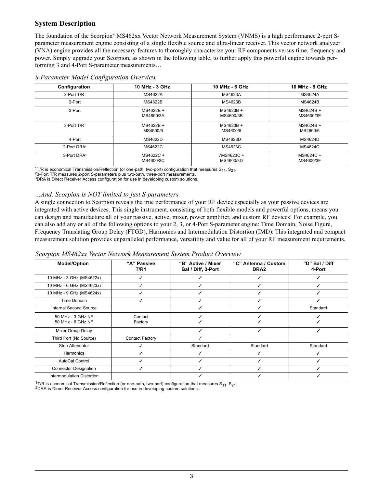# **System Description**

The foundation of the Scorpion® MS462xx Vector Network Measurement System (VNMS) is a high performance 2-port Sparameter measurement engine consisting of a single flexible source and ultra-linear receiver. This vector network analyzer (VNA) engine provides all the necessary features to thoroughly characterize your RF components versus time, frequency and power. Simply upgrade your Scorpion, as shown in the following table, to further apply this powerful engine towards performing 3 and 4-Port S-parameter measurements…

| Configuration              | 10 MHz - 3 GHz         | 10 MHz - 6 GHz          | 10 MHz - 9 GHz         |
|----------------------------|------------------------|-------------------------|------------------------|
| 2-Port $T/R$ <sup>1</sup>  | <b>MS4622A</b>         | MS4623A                 | MS4624A                |
| 2-Port                     | <b>MS4622B</b>         | MS4623B                 | MS4624B                |
| 3-Port                     | MS4622B +<br>MS4600/3A | MS4623B +<br>MS4600/3B  | MS4624B +<br>MS4600/3E |
| $3$ -Port T/R <sup>2</sup> | MS4622B +<br>MS4600/6  | MS4623B +<br>MS4600/6   | MS4624B +<br>MS4600/6  |
| 4-Port                     | MS4622D                | MS4623D                 | MS4624D                |
| 2-Port DRA <sup>3</sup>    | MS4622C                | MS4623C                 | MS4624C                |
| 3-Port DRA <sup>3</sup>    | MS4622C +<br>MS4600/3C | 7MS4623C +<br>MS4600/3D | MS4624C +<br>MS4600/3F |

#### *S-Parameter Model Configuration Overview*

<sup>1</sup>T/R is economical Transmission/Reflection (or one-path, two-port) configuration that measures S<sub>11</sub>, S<sub>21</sub>. <sup>2</sup>3-Port T/R measures 2-port S-parameters plus two-path, three-port measurements.

3DRA is Direct Receiver Access configuration for use in developing custom solutions.

## *…And, Scorpion is NOT limited to just S-parameters.*

A single connection to Scorpion reveals the true performance of your RF device especially as your passive devices are integrated with active devices. This single instrument, consisting of both flexible models and powerful options, means you can design and manufacture all of your passive, active, mixer, power amplifier, and custom RF devices! For example, you can also add any or all of the following options to your 2, 3, or 4-Port S-parameter engine: Time Domain, Noise Figure, Frequency Translating Group Delay (FTGD), Harmonics and Intermodulation Distortion (IMD). This integrated and compact measurement solution provides unparalleled performance, versatility and value for all of your RF measurement requirements.

|  |  |  |  | Scorpion MS462xx Vector Network Measurement System Product Overview |  |  |  |
|--|--|--|--|---------------------------------------------------------------------|--|--|--|
|--|--|--|--|---------------------------------------------------------------------|--|--|--|

| <b>Model/Option</b>                    | "A" Passive<br>T/R1    | "B" Active / Mixer<br>Bal / Diff, 3-Port | "C" Antenna / Custom<br>DRA <sub>2</sub> | "D" Bal / Diff<br>4-Port |
|----------------------------------------|------------------------|------------------------------------------|------------------------------------------|--------------------------|
| 10 MHz - 3 GHz (MS4622x)               | ✓                      |                                          |                                          |                          |
| 10 MHz - 6 GHz (MS4623x)               |                        |                                          |                                          |                          |
| 10 MHz - 9 GHz (MS4624x)               |                        |                                          |                                          |                          |
| Time Domain                            |                        |                                          |                                          |                          |
| Internal Second Source                 |                        |                                          |                                          | Standard                 |
| 50 MHz - 3 GHz NF<br>50 MHz - 6 GHz NF | Contact<br>Factory     |                                          |                                          |                          |
| Mixer Group Delay                      |                        |                                          |                                          |                          |
| Third Port (No Source)                 | <b>Contact Factory</b> |                                          |                                          |                          |
| Step Attenuator                        |                        | Standard                                 | Standard                                 | Standard                 |
| Harmonics                              |                        |                                          |                                          |                          |
| <b>AutoCal Control</b>                 |                        |                                          |                                          |                          |
| <b>Connector Designation</b>           |                        |                                          |                                          |                          |
| Intermodulation Distortion             |                        |                                          |                                          |                          |

 $\frac{1}{1}$ T/R is economical Transmission/Reflection (or one-path, two-port) configuration that measures S<sub>11</sub>, S<sub>21</sub>. 2DRA is Direct Receiver Access configuration for use in developing custom solutions.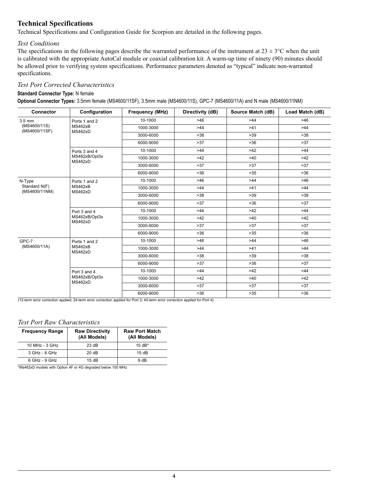# **Technical Specifications**

Technical Specifications and Configuration Guide for Scorpion are detailed in the following pages.

## *Test Conditions*

The specifications in the following pages describe the warranted performance of the instrument at  $23 \pm 3$ °C when the unit is calibrated with the appropriate AutoCal module or coaxial calibration kit. A warm-up time of ninety (90) minutes should be allowed prior to verifying system specifications. Performance parameters denoted as "typical" indicate non-warranted specifications.

## *Test Port Corrected Characteristics*

#### **Standard Connector Type:** N female

**Optional Connector Types:** 3.5mm female (MS4600/11SF), 3.5mm male (MS4600/11S), GPC-7 (MS4600/11A) and N male (MS4600/11NM)

| <b>Connector</b>               | Configuration            | <b>Frequency (MHz)</b> | Directivity (dB) | Source Match (dB) | Load Match (dB) |
|--------------------------------|--------------------------|------------------------|------------------|-------------------|-----------------|
| $3.5 \text{ mm}$               | Ports 1 and 2            | 10-1000                | >46              | $>44$             | $>46$           |
| (MS4600/11S)<br>(MS4600/11SF)  | MS462xB<br>MS462xD       | 1000-3000              | >44              | >41               | >44             |
|                                |                          | 3000-6000              | >38              | $>39$             | $>38$           |
|                                |                          | 6000-9000              | $>37$            | $>36$             | >37             |
|                                | Ports 3 and 4            | 10-1000                | $>44$            | $>42$             | $>44$           |
|                                | MS462xB/Opt3x<br>MS462xD | 1000-3000              | $>42$            | >40               | $>42$           |
|                                |                          | 3000-6000              | >37              | >37               | >37             |
|                                |                          | 6000-9000              | $>36$            | $>35$             | $>36$           |
| N-Type                         | Ports 1 and 2            | 10-1000                | $>46$            | >44               | $>46$           |
| Standard N(F)<br>(MS4600/11NM) | MS462xB<br>MS462xD       | 1000-3000              | $>44$            | >41               | >44             |
|                                |                          | 3000-6000              | >38              | $>39$             | $>38$           |
|                                |                          | 6000-9000              | >37              | $>36$             | $>37$           |
|                                | Port 3 and 4             | 10-1000                | $>44$            | $>42$             | >44             |
|                                | MS462xB/Opt3x<br>MS462xD | 1000-3000              | $>42$            | >40               | $>42$           |
|                                |                          | 3000-6000              | >37              | $>37$             | $>37$           |
|                                |                          | 6000-9000              | $>36$            | $>35$             | $>36$           |
| GPC-7                          | Ports 1 and 2            | 10-1000                | $>46$            | >44               | >46             |
| (MS4600/11A)                   | MS462xB<br>MS462xD       | 1000-3000              | $>44$            | >41               | >44             |
|                                |                          | 3000-6000              | >38              | $>39$             | $>38$           |
|                                |                          | 6000-9000              | >37              | $>36$             | >37             |
|                                | Port 3 and 4             | 10-1000                | $>44$            | $>42$             | $>44$           |
|                                | MS462xB/Opt3x<br>MS462xD | 1000-3000              | $>42$            | >40               | $>42$           |
|                                |                          | 3000-6000              | $>37$            | >37               | $>37$           |
|                                |                          | 6000-9000              | $>36$            | $>35$             | $>36$           |

(12-term error correction applied; 24-term error correction applied for Port 3; 40-term error correction applied for Port 4)

## *Test Port Raw Characteristics*

| <b>Frequency Range</b> | <b>Raw Directivity</b><br>(All Models) | <b>Raw Port Match</b><br>(All Models) |
|------------------------|----------------------------------------|---------------------------------------|
| 10 MHz - 3 GHz         | 23 dB                                  | $15 dB*$                              |
| 3 GHz - 6 GHz          | 20dB                                   | 15dB                                  |
| $6$ GHz - 9 GHz        | 15dB                                   | 9 <sub>dB</sub>                       |

\*Ms462xD models with Option 4F or 4G degraded below 100 MHz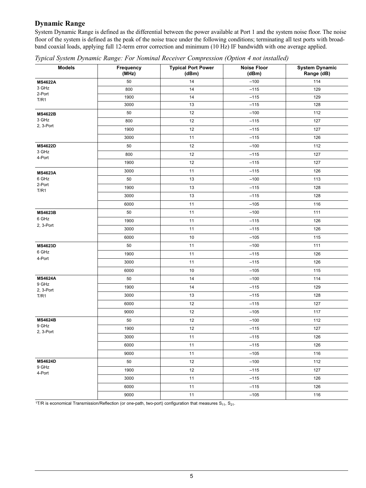# **Dynamic Range**

System Dynamic Range is defined as the differential between the power available at Port 1 and the system noise floor. The noise floor of the system is defined as the peak of the noise trace under the following conditions; terminating all test ports with broadband coaxial loads, applying full 12-term error correction and minimum (10 Hz) IF bandwidth with one average applied.

| <b>Models</b>      | Frequency<br>(MHz) | <b>Typical Port Power</b><br>(dBm) | <b>Noise Floor</b><br>(dBm) | <b>System Dynamic</b><br>Range (dB) |
|--------------------|--------------------|------------------------------------|-----------------------------|-------------------------------------|
| <b>MS4622A</b>     | 50                 | 14                                 | $-100$                      | 114                                 |
| 3 GHz              | 800                | 14                                 | $-115$                      | 129                                 |
| 2-Port<br>T/R1     | 1900               | 14                                 | $-115$                      | 129                                 |
|                    | 3000               | 13                                 | $-115$                      | 128                                 |
| <b>MS4622B</b>     | 50                 | 12                                 | $-100$                      | 112                                 |
| 3 GHz              | 800                | 12                                 | $-115$                      | 127                                 |
| 2, 3-Port          | 1900               | 12                                 | $-115$                      | 127                                 |
|                    | 3000               | 11                                 | $-115$                      | 126                                 |
| <b>MS4622D</b>     | 50                 | 12                                 | $-100$                      | 112                                 |
| 3 GHz<br>4-Port    | 800                | 12                                 | $-115$                      | 127                                 |
|                    | 1900               | 12                                 | $-115$                      | 127                                 |
| <b>MS4623A</b>     | 3000               | 11                                 | $-115$                      | 126                                 |
| 6 GHz              | 50                 | 13                                 | $-100$                      | 113                                 |
| 2-Port<br>T/R1     | 1900               | 13                                 | $-115$                      | 128                                 |
|                    | 3000               | 13                                 | $-115$                      | 128                                 |
|                    | 6000               | 11                                 | $-105$                      | 116                                 |
| <b>MS4623B</b>     | 50                 | 11                                 | $-100$                      | 111                                 |
| 6 GHz              | 1900               | 11                                 | $-115$                      | 126                                 |
| 2, 3-Port          | 3000               | 11                                 | $-115$                      | 126                                 |
|                    | 6000               | 10                                 | $-105$                      | 115                                 |
| <b>MS4623D</b>     | 50                 | 11                                 | $-100$                      | 111                                 |
| 6 GHz              | 1900               | 11                                 | $-115$                      | 126                                 |
| 4-Port             | 3000               | 11                                 | $-115$                      | 126                                 |
|                    | 6000               | 10                                 | $-105$                      | 115                                 |
| <b>MS4624A</b>     | 50                 | 14                                 | $-100$                      | 114                                 |
| 9 GHz<br>2, 3-Port | 1900               | 14                                 | $-115$                      | 129                                 |
| T/R1               | 3000               | 13                                 | $-115$                      | 128                                 |
|                    | 6000               | 12                                 | $-115$                      | 127                                 |
|                    | 9000               | 12                                 | $-105$                      | 117                                 |
| <b>MS4624B</b>     | 50                 | 12                                 | $-100$                      | 112                                 |
| 9 GHz<br>2, 3-Port | 1900               | 12                                 | $-115$                      | 127                                 |
|                    | 3000               | 11                                 | $-115$                      | 126                                 |
|                    | 6000               | 11                                 | $-115$                      | 126                                 |
|                    | 9000               | 11                                 | $-105$                      | 116                                 |
| <b>MS4624D</b>     | 50                 | 12                                 | $-100$                      | 112                                 |
| 9 GHz<br>4-Port    | 1900               | 12                                 | $-115$                      | 127                                 |
|                    | 3000               | 11                                 | $-115$                      | 126                                 |
|                    | 6000               | 11                                 | $-115$                      | 126                                 |
|                    | 9000               | 11                                 | $-105$                      | 116                                 |

*Typical System Dynamic Range: For Nominal Receiver Compression (Option 4 not installed)*

1T/R is economical Transmission/Reflection (or one-path, two-port) configuration that measures  $S_{11}$ ,  $S_{21}$ .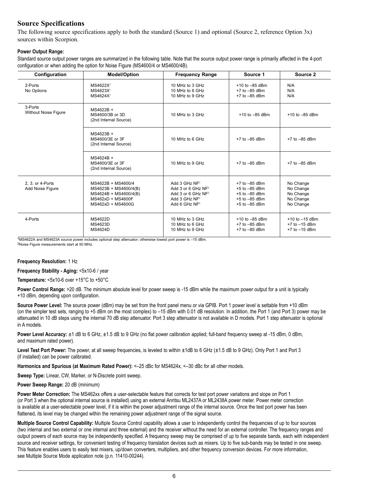# **Source Specifications**

The following source specifications apply to both the standard (Source 1) and optional (Source 2, reference Option  $3x$ ) sources within Scorpion.

### **Power Output Range:**

Standard source output power ranges are summarized in the following table. Note that the source output power range is primarily affected in the 4-port configuration or when adding the option for Noise Figure (MS4600/4 or MS4600/4B).

| Configuration                        | <b>Model/Option</b>                                                                                            | <b>Frequency Range</b>                                                                                                    | Source 1                                                                                              | Source 2                                                      |
|--------------------------------------|----------------------------------------------------------------------------------------------------------------|---------------------------------------------------------------------------------------------------------------------------|-------------------------------------------------------------------------------------------------------|---------------------------------------------------------------|
| 2-Ports<br>No Options                | MS4622X <sup>1</sup><br>MS4623X <sup>1</sup><br>MS4624X <sup>1</sup>                                           | 10 MHz to 3 GHz<br>10 MHz to 6 GHz<br>10 MHz to 9 GHz                                                                     | $+10$ to $-85$ dBm<br>$+7$ to $-85$ dBm<br>$+7$ to $-85$ dBm                                          | N/A<br>N/A<br>N/A                                             |
| 3-Ports<br>Without Noise Figure      | MS4622B +<br>MS4600/3B or 3D<br>(2nd Internal Source)                                                          | 10 MHz to 3 GHz                                                                                                           | $+10$ to $-85$ dBm                                                                                    | $+10$ to $-85$ dBm                                            |
|                                      | MS4623B +<br>MS4600/3E or 3F<br>(2nd Internal Source)                                                          | 10 MHz to 6 GHz                                                                                                           | $+7$ to $-85$ dBm                                                                                     | $+7$ to $-85$ dBm                                             |
|                                      | MS4624B +<br>MS4600/3E or 3F<br>(2nd Internal Source)                                                          | 10 MHz to 9 GHz                                                                                                           | $+7$ to $-85$ dBm                                                                                     | $+7$ to $-85$ dBm                                             |
| 2. 3. or 4-Ports<br>Add Noise Figure | MS4622B + MS4600/4<br>MS4623B + MS4600/4(B)<br>MS4624B + MS4600/4(B)<br>MS462xD + MS4600F<br>MS462xD + MS4600G | Add 3 GHz NF <sup>2</sup><br>Add 3 or 6 GHz $NF2$<br>Add 3 or 6 GHz NF <sup>2</sup><br>Add 3 GHz $NF2$<br>Add 6 GHz $NF2$ | $+7$ to $-85$ dBm<br>$+5$ to $-85$ dBm<br>$+5$ to $-85$ dBm<br>$+5$ to $-85$ dBm<br>$+5$ to $-85$ dBm | No Change<br>No Change<br>No Change<br>No Change<br>No Change |
| 4-Ports                              | <b>MS4622D</b><br>MS4623D<br>MS4624D                                                                           | 10 MHz to 3 GHz<br>10 MHz to 6 GHz<br>10 MHz to 9 GHz                                                                     | $+10$ to $-85$ dBm<br>$+7$ to $-85$ dBm<br>$+7$ to $-85$ dBm                                          | $+10$ to $-15$ dBm<br>$+7$ to $-15$ dBm<br>$+7$ to $-15$ dBm  |

1MS4622A and MS4623A source power includes optional step attenuator; otherwise lowest port power is –15 dBm. 2Noise Figure measurements start at 50 MHz.

### **Frequency Resolution:** 1 Hz

**Frequency Stability - Aging:** <5x10-6 / year

**Temperature:** <5x10-6 over +15°C to +50°C

**Power Control Range:** >20 dB. The minimum absolute level for power sweep is -15 dBm while the maximum power output for a unit is typically +10 dBm, depending upon configuration.

**Source Power Level:** The source power (dBm) may be set from the front panel menu or via GPIB. Port 1 power level is settable from +10 dBm (on the simpler test sets, ranging to +5 dBm on the most complex) to –15 dBm with 0.01 dB resolution. In addition, the Port 1 (and Port 3) power may be attenuated in 10 dB steps using the internal 70 dB step attenuator. Port 3 step attenuator is not available in D models. Port 1 step attenuator is optional in A models.

**Power Level Accuracy:** ±1 dB to 6 GHz, ±1.5 dB to 9 GHz (no flat power calibration applied; full-band frequency sweep at -15 dBm, 0 dBm, and maximum rated power).

Level Test Port Power: The power, at all sweep frequencies, is leveled to within ±1dB to 6 GHz (±1.5 dB to 9 GHz). Only Port 1 and Port 3 (if installed) can be power calibrated.

Harmonics and Spurious (at Maximum Rated Power): <-25 dBc for MS4624x, <-30 dBc for all other models.

**Sweep Type:** Linear, CW, Marker, or N-Discrete point sweep.

**Power Sweep Range:** 20 dB (minimum)

**Power Meter Correction:** The MS462xx offers a user-selectable feature that corrects for test port power variations and slope on Port 1 (or Port 3 when the optional internal source is installed) using an external Anritsu ML2437A or ML2438A power meter. Power meter correction is available at a user-selectable power level, if it is within the power adjustment range of the internal source. Once the test port power has been flattened, its level may be changed within the remaining power adjustment range of the signal source.

**Multiple Source Control Capability:** Multiple Source Control capability allows a user to independently control the frequencies of up to four sources (two internal and two external or one internal and three external) and the receiver without the need for an external controller. The frequency ranges and output powers of each source may be independently specified. A frequency sweep may be comprised of up to five separate bands, each with independent source and receiver settings, for convenient testing of frequency translation devices such as mixers. Up to five sub-bands may be tested in one sweep. This feature enables users to easily test mixers, up/down converters, multipliers, and other frequency conversion devices. For more information, see Multiple Source Mode application note (p.n. 11410-00244).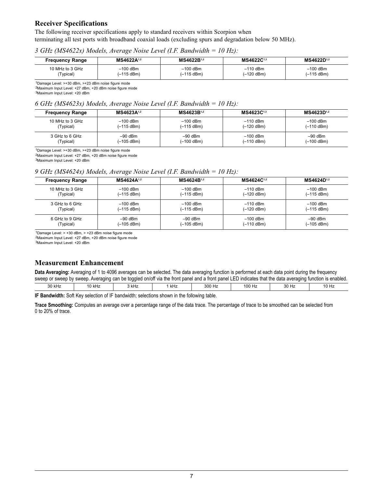## **Receiver Specifications**

The following receiver specifications apply to standard receivers within Scorpion when terminating all test ports with broadband coaxial loads (excluding spurs and degradation below 50 MHz).

## *3 GHz (MS4622x) Models, Average Noise Level (I.F. Bandwidth = 10 Hz):*

| <b>Frequency Range</b> | MS4622A1,2           | MS4622B1,2           | MS4622C1,3 | MS4622D <sup>1,2</sup> |
|------------------------|----------------------|----------------------|------------|------------------------|
| 10 MHz to 3 GHz        | $-100$ dBm           | $-100$ dBm           | $-110$ dBm | $-100$ dBm             |
| Typical)               | $(-115 \text{ dBm})$ | $(-115 \text{ dBm})$ | (–120 dBm) | $(-115$ dBm)           |

1Damage Level: >+30 dBm, >+23 dBm noise figure mode 2Maximum Input Level: +27 dBm, +20 dBm noise figure mode

3Maximum Input Level: +20 dBm

## *6 GHz (MS4623x) Models, Average Noise Level (I.F. Bandwidth = 10 Hz):*

| <b>Frequency Range</b> | MS4623A1,2 | MS4623B1,2   | MS4623C1,3 | MS4623D <sup>1,2</sup> |
|------------------------|------------|--------------|------------|------------------------|
| 10 MHz to 3 GHz        | $-100$ dBm | $-100$ dBm   | $-110$ dBm | $-100$ dBm             |
| (Typical)              | (-115 dBm) | $(-115 dBm)$ | (-120 dBm) | (–110 dBm)             |
| 3 GHz to 6 GHz         | $-90$ dBm  | $-90$ dBm    | $-100$ dBm | $-90$ dBm              |
| (Typical)              | (–105 dBm) | $(-100$ dBm) | (-110 dBm) | (–100 dBm)             |

1Damage Level: >+30 dBm, >+23 dBm noise figure mode

2Maximum Input Level: +27 dBm, +20 dBm noise figure mode

3Maximum Input Level: +20 dBm

## *9 GHz (MS4624x) Models, Average Noise Level (I.F. Bandwidth = 10 Hz):*

| <b>Frequency Range</b> | MS4624A1,2 | MS4624B1,2   | MS4624C <sup>1,2</sup> | MS4624D <sup>1,2</sup> |
|------------------------|------------|--------------|------------------------|------------------------|
| 10 MHz to 3 GHz        | $-100$ dBm | $-100$ dBm   | $-110$ dBm             | $-100$ dBm             |
| (Typical)              | (–115 dBm) | $(-115 dBm)$ | $(-120$ dBm)           | $(-115$ dBm)           |
| 3 GHz to 6 GHz         | $-100$ dBm | $-100$ dBm   | $-110$ dBm             | $-100$ dBm             |
| (Typical)              | (-115 dBm) | $(-115$ dBm) | $(-120$ dBm)           | $(-115$ dBm)           |
| 6 GHz to 9 GHz         | $-90$ dBm  | $-90$ dBm    | $-100$ dBm             | $-90$ dBm              |
| (Typical)              | (–105 dBm) | $(-105$ dBm) | $(-110$ dBm)           | (-105 dBm)             |

1Damage Level: > +30 dBm, > +23 dBm noise figure mode

2Maximum Input Level: +27 dBm, +20 dBm noise figure mode

3Maximum Input Level: +20 dBm

# **Measurement Enhancement**

**Data Averaging:** Averaging of 1 to 4096 averages can be selected. The data averaging function is performed at each data point during the frequency sweep or sweep by sweep. Averaging can be toggled on/off via the front panel and a front panel LED indicates that the data averaging function is enabled.

|                 |                                               | --                                                   |     |                              |              |                        |                                                                   |
|-----------------|-----------------------------------------------|------------------------------------------------------|-----|------------------------------|--------------|------------------------|-------------------------------------------------------------------|
| $\Omega$<br>kHz | 10 kHz<br>the contract of the contract of the | 2L<br>או וחיט<br>the contract of the contract of the | kHz | $\sim$ $\sim$<br>300 Hz<br>. | 100<br>1 I Z | $\sim$<br>- 112<br>ັບບ | 10.11<br>10 H∠<br>the contract of the contract of the contract of |
|                 |                                               |                                                      |     |                              |              |                        |                                                                   |

**IF Bandwidth:** Soft Key selection of IF bandwidth; selections shown in the following table.

**Trace Smoothing:** Computes an average over a percentage range of the data trace. The percentage of trace to be smoothed can be selected from 0 to 20% of trace.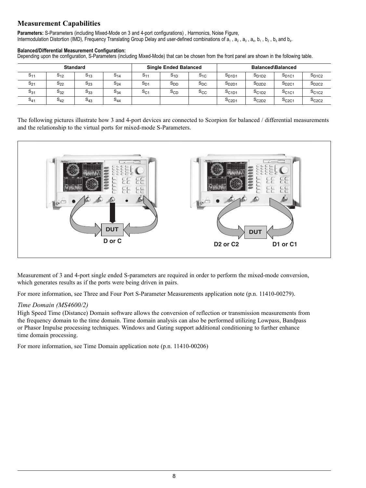# **Measurement Capabilities**

**Parameters:** S-Parameters (including Mixed-Mode on 3 and 4-port configurations) , Harmonics, Noise Figure, Intermodulation Distortion (IMD), Frequency Translating Group Delay and user-defined combinations of  $a_1$ ,  $a_2$ ,  $a_3$ ,  $a_4$ ,  $b_1$ ,  $b_2$ ,  $b_3$  and  $b_4$ .

#### **Balanced/Differential Measurement Configuration:**

Depending upon the configuration, S-Parameters (including Mixed-Mode) that can be chosen from the front panel are shown in the following table.

| <b>Standard</b> |          |                    | <b>Single Ended Balanced</b> |                |                 | <b>Balanced\Balanced</b> |                   |                   |                   |                   |
|-----------------|----------|--------------------|------------------------------|----------------|-----------------|--------------------------|-------------------|-------------------|-------------------|-------------------|
| $S_{11}$        | $5_{12}$ | $5_{13}$           | $S_{14}$                     | S <sub>1</sub> | ১ <sub>1D</sub> | $S_{1C}$                 | S <sub>D1D1</sub> | $S_{D1D2}$        | $S_{D1C1}$        | $S_{D1C2}$        |
| $S_{21}$        | $S_{22}$ | $\sim$<br>$S_{23}$ | $S_{24}$                     | $S_{D}$        | S <sub>DD</sub> | $S_{DC}$                 | S <sub>D2D1</sub> | $S_{D2D2}$        | $S_{D2C1}$        | $S_{D2C2}$        |
| $S_{31}$        | $S_{32}$ | $\sim$<br>533      | $S_{34}$                     | $S_{C1}$       | ১cd             | $S_{CC}$                 | S <sub>C1D1</sub> | S <sub>C1D2</sub> | S <sub>C1C1</sub> | S <sub>C1C2</sub> |
| $S_{41}$        | $S_{42}$ | $\mathsf{a}_{43}$  | $S_{44}$                     |                |                 |                          | SC2D1             | S <sub>C2D2</sub> | S <sub>C2C1</sub> | S <sub>C2C2</sub> |

The following pictures illustrate how 3 and 4-port devices are connected to Scorpion for balanced / differential measurements and the relationship to the virtual ports for mixed-mode S-Parameters.



Measurement of 3 and 4-port single ended S-parameters are required in order to perform the mixed-mode conversion, which generates results as if the ports were being driven in pairs.

For more information, see Three and Four Port S-Parameter Measurements application note (p.n. 11410-00279).

## *Time Domain (MS4600/2)*

High Speed Time (Distance) Domain software allows the conversion of reflection or transmission measurements from the frequency domain to the time domain. Time domain analysis can also be performed utilizing Lowpass, Bandpass or Phasor Impulse processing techniques. Windows and Gating support additional conditioning to further enhance time domain processing.

For more information, see Time Domain application note (p.n. 11410-00206)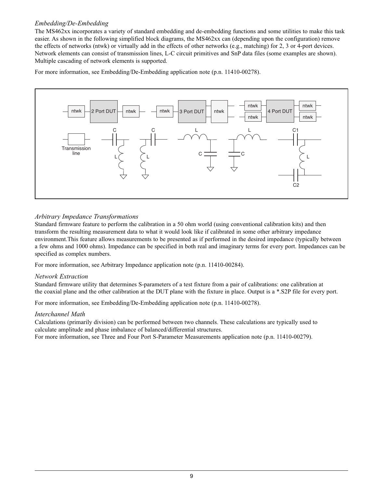## *Embedding/De-Embedding*

The MS462xx incorporates a variety of standard embedding and de-embedding functions and some utilities to make this task easier. As shown in the following simplified block diagrams, the MS462xx can (depending upon the configuration) remove the effects of networks (ntwk) or virtually add in the effects of other networks (e.g., matching) for 2, 3 or 4-port devices. Network elements can consist of transmission lines, L-C circuit primitives and SnP data files (some examples are shown). Multiple cascading of network elements is supported.

For more information, see Embedding/De-Embedding application note (p.n. 11410-00278).



## *Arbitrary Impedance Transformations*

Standard firmware feature to perform the calibration in a 50 ohm world (using conventional calibration kits) and then transform the resulting measurement data to what it would look like if calibrated in some other arbitrary impedance environment.This feature allows measurements to be presented as if performed in the desired impedance (typically between a few ohms and 1000 ohms). Impedance can be specified in both real and imaginary terms for every port. Impedances can be specified as complex numbers.

For more information, see Arbitrary Impedance application note (p.n. 11410-00284).

## *Network Extraction*

Standard firmware utility that determines S-parameters of a test fixture from a pair of calibrations: one calibration at the coaxial plane and the other calibration at the DUT plane with the fixture in place. Output is a \*.S2P file for every port.

For more information, see Embedding/De-Embedding application note (p.n. 11410-00278).

## *Interchannel Math*

Calculations (primarily division) can be performed between two channels. These calculations are typically used to calculate amplitude and phase imbalance of balanced/differential structures.

For more information, see Three and Four Port S-Parameter Measurements application note (p.n. 11410-00279).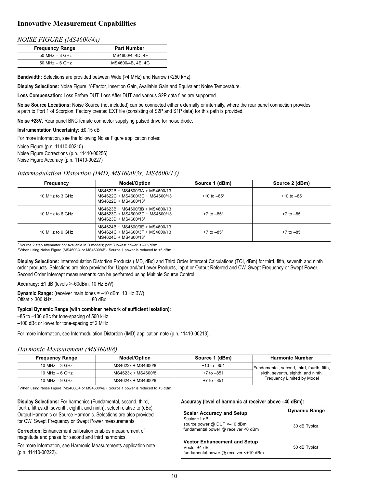# **Innovative Measurement Capabilities**

#### *NOISE FIGURE (MS4600/4x)*

| <b>Frequency Range</b> | <b>Part Number</b> |  |  |  |
|------------------------|--------------------|--|--|--|
| $50$ MHz $-$ 3 GHz     | MS4600/4, 4D, 4F   |  |  |  |
| $50$ MHz $-6$ GHz      | MS4600/4B, 4E, 4G  |  |  |  |

**Bandwidth:** Selections are provided between Wide (>4 MHz) and Narrow (<250 kHz).

**Display Selections:** Noise Figure, Y-Factor, Insertion Gain, Available Gain and Equivalent Noise Temperature.

**Loss Compensation:** Loss Before DUT, Loss After DUT and various S2P data files are supported.

**Noise Source Locations:** Noise Source (not included) can be connected either externally or internally, where the rear panel connection provides a path to Port 1 of Scorpion. Factory created EXT file (consisting of S2P and S1P data) for this path is provided.

**Noise +28V**: Rear panel BNC female connector supplying pulsed drive for noise diode.

**Instrumentation Uncertainty:** ±0.15 dB

For more information, see the following Noise Figure application notes:

Noise Figure (p.n. 11410-00210) Noise Figure Corrections (p.n. 11410-00256) Noise Figure Accuracy (p.n. 11410-00227)

### *Intermodulation Distortion (IMD, MS4600/3x, MS4600/13)*

| Frequency       | <b>Model/Option</b>                                                                                    | Source 1 (dBm)   | Source 2 (dBm) |
|-----------------|--------------------------------------------------------------------------------------------------------|------------------|----------------|
| 10 MHz to 3 GHz | MS4622B + MS4600/3A + MS4600/13<br>MS4622C + MS4600/3C + MS4600/13<br>MS4622D + MS4600/13 <sup>1</sup> | $+10$ to $-85^2$ | $+10$ to $-85$ |
| 10 MHz to 6 GHz | MS4623B + MS4600/3B + MS4600/13<br>MS4623C + MS4600/3D + MS4600/13<br>MS4623D + MS4600/13 <sup>1</sup> | $+7$ to $-85^2$  | $+7$ to $-85$  |
| 10 MHz to 9 GHz | MS4624B + MS4600/3E + MS4600/13<br>MS4624C + MS4600/3F + MS4600/13<br>MS4624D + MS4600/13 <sup>1</sup> | $+7$ to $-85^2$  | $+7$ to $-85$  |

1Source 2 step attenuator not available in D models; port 3 lowest power is –15 dBm. 2When using Noise Figure (MS4600/4 or MS4600/4B), Source 1 power is reduced to +5 dBm.

**Display Selections:** Intermodulation Distortion Products (IMD, dBc) and Third Order Intercept Calculations (TOI, dBm) for third, fifth, seventh and ninth order products. Selections are also provided for: Upper and/or Lower Products, Input or Output Referred and CW, Swept Frequency or Swept Power. Second Order Intercept measurements can be performed using Multiple Source Control.

**Accuracy:** ±1 dB (levels >–60dBm, 10 Hz BW)

**Dynamic Range:** (receiver main tones = –10 dBm, 10 Hz BW) Offset > 300 kHz..............................–80 dBc

#### **Typical Dynamic Range (with combiner network of sufficient isolation):**

–85 to –100 dBc for tone-spacing of 500 kHz

–100 dBc or lower for tone-spacing of 2 MHz

For more information, see Intermodulation Distortion (IMD) application note (p.n. 11410-00213).

#### *Harmonic Measurement (MS4600/8)*

| <b>Frequency Range</b> | <b>Model/Option</b> | Source 1 (dBm)  | <b>Harmonic Number</b>                     |
|------------------------|---------------------|-----------------|--------------------------------------------|
| 10 MHz $-$ 3 GHz       | MS4622x + MS4600/8  | $+10$ to $-851$ | Fundamental, second, third, fourth, fifth, |
| 10 MHz $-$ 6 GHz       | MS4623x + MS4600/8  | $+7$ to $-851$  | sixth, seventh, eighth, and ninth.         |
| 10 MHz $-$ 9 GHz       | MS4624x + MS4600/8  | $+7$ to $-851$  | Frequency Limited by Model                 |

1When using Noise Figure (MS4600/4 or MS4600/4B), Source 1 power is reduced to +5 dBm.

**Display Selections:** For harmonics (Fundamental, second, third, fourth, fifth,sixth,seventh, eighth, and ninth), select relative to (dBc) Output Harmonic or Source Harmonic. Selections are also provided for CW, Swept Frequency or Swept Power measurements.

**Correction:** Enhancement calibration enables measurement of magnitude and phase for second and third harmonics.

For more information, see Harmonic Measurements application note (p.n. 11410-00222).

#### **Accuracy (level of harmonic at receiver above –40 dBm):**

| <b>Scalar Accuracy and Setup</b>                                                               | <b>Dynamic Range</b> |
|------------------------------------------------------------------------------------------------|----------------------|
| Scalar +1 dB<br>source power @ DUT <-10 dBm<br>fundamental power @ receiver <0 dBm             | 30 dB Typical        |
| <b>Vector Enhancement and Setup</b><br>Vector $+1$ dB<br>fundamental power @ receiver <+10 dBm | 50 dB Typical        |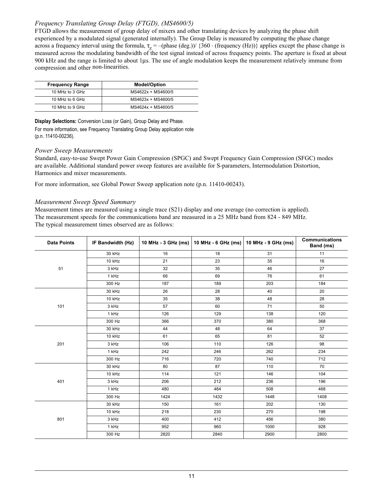# *Frequency Translating Group Delay (FTGD), (MS4600/5)*

FTGD allows the measurement of group delay of mixers and other translating devices by analyzing the phase shift experienced by a modulated signal (generated internally). The Group Delay is measured by computing the phase change across a frequency interval using the formula,  $\tau_g = -(\text{phase (deg.)})/$  {360  $\cdot$  (frequency (Hz))} applies except the phase change is measured across the modulating bandwidth of the test signal instead of across frequency points. The aperture is fixed at about 900 kHz and the range is limited to about 1µs. The use of angle modulation keeps the measurement relatively immune from compression and other non-linearities.

| <b>Frequency Range</b> | <b>Model/Option</b> |
|------------------------|---------------------|
| 10 MHz to 3 GHz        | MS4622x + MS4600/5  |
| 10 MHz to 6 GHz        | MS4623x + MS4600/5  |
| 10 MHz to 9 GHz        | MS4624x + MS4600/5  |

**Display Selections:** Conversion Loss (or Gain), Group Delay and Phase.

For more information, see Frequency Translating Group Delay application note (p.n. 11410-00236).

### *Power Sweep Measurements*

Standard, easy-to-use Swept Power Gain Compression (SPGC) and Swept Frequency Gain Compression (SFGC) modes are available. Additional standard power sweep features are available for S-parameters, Intermodulation Distortion, Harmonics and mixer measurements.

For more information, see Global Power Sweep application note (p.n. 11410-00243).

#### *Measurement Sweep Speed Summary*

Measurement times are measured using a single trace (S21) display and one average (no correction is applied). The measurement speeds for the communications band are measured in a 25 MHz band from 824 - 849 MHz. The typical measurement times observed are as follows:

| <b>Data Points</b> | IF Bandwidth (Hz) |      | 10 MHz - 3 GHz (ms)   10 MHz - 6 GHz (ms) | 10 MHz - 9 GHz (ms) | <b>Communications</b><br>Band (ms) |
|--------------------|-------------------|------|-------------------------------------------|---------------------|------------------------------------|
|                    | 30 kHz            | 16   | 18                                        | 31                  | 11                                 |
|                    | 10 kHz            | 21   | 23                                        | 35                  | 16                                 |
| 51                 | 3 kHz             | 32   | 35                                        | 46                  | 27                                 |
|                    | 1 kHz             | 66   | 69                                        | 76                  | 61                                 |
|                    | 300 Hz            | 187  | 189                                       | 203                 | 184                                |
|                    | 30 kHz            | 26   | 28                                        | 40                  | 20                                 |
|                    | 10 kHz            | 35   | 38                                        | 48                  | 28                                 |
| 101                | 3 kHz             | 57   | 60                                        | 71                  | 50                                 |
|                    | 1 kHz             | 126  | 129                                       | 138                 | 120                                |
|                    | 300 Hz            | 366  | 370                                       | 380                 | 368                                |
|                    | 30 kHz            | 44   | 48                                        | 64                  | 37                                 |
|                    | 10 kHz            | 61   | 65                                        | 81                  | 52                                 |
| 201                | 3 kHz             | 106  | 110                                       | 126                 | 98                                 |
|                    | 1 kHz             | 242  | 246                                       | 262                 | 234                                |
|                    | 300 Hz            | 716  | 720                                       | 740                 | 712                                |
|                    | 30 kHz            | 80   | 87                                        | 110                 | 70                                 |
|                    | 10 kHz            | 114  | 121                                       | 146                 | 104                                |
| 401                | 3 kHz             | 206  | 212                                       | 236                 | 196                                |
|                    | 1 kHz             | 480  | 484                                       | 508                 | 468                                |
|                    | 300 Hz            | 1424 | 1432                                      | 1448                | 1408                               |
|                    | 30 kHz            | 150  | 161                                       | 202                 | 130                                |
|                    | 10 kHz            | 218  | 230                                       | 270                 | 198                                |
| 801                | 3 kHz             | 400  | 412                                       | 456                 | 380                                |
|                    | 1 kHz             | 952  | 960                                       | 1000                | 928                                |
|                    | 300 Hz            | 2820 | 2840                                      | 2900                | 2800                               |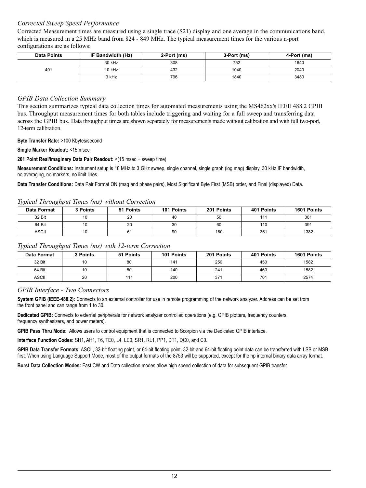## *Corrected Sweep Speed Performance*

Corrected Measurement times are measured using a single trace (S21) display and one average in the communications band, which is measured in a 25 MHz band from 824 - 849 MHz. The typical measurement times for the various n-port configurations are as follows:

| <b>Data Points</b> | IF Bandwidth (Hz) | 2-Port (ms) | 3-Port (ms) | 4-Port (ms) |
|--------------------|-------------------|-------------|-------------|-------------|
|                    | 30 kHz            | 308         | 752         | 1640        |
| 401                | 10 kHz            | 432         | 1040        | 2040        |
|                    | 3 kHz             | 796         | 1840        | 3480        |

## *GPIB Data Collection Summary*

This section summarizes typical data collection times for automated measurements using the MS462xx's IEEE 488.2 GPIB bus. Throughput measurement times for both tables include triggering and waiting for a full sweep and transferring data across the GPIB bus. Data throughput times are shown separately for measurements made without calibration and with full two-port, 12-term calibration.

#### **Byte Transfer Rate:** >100 Kbytes/second

#### **Single Marker Readout:** <15 msec

#### **201 Point Real/Imaginary Data Pair Readout:** <(15 msec + sweep time)

**Measurement Conditions:** Instrument setup is 10 MHz to 3 GHz sweep, single channel, single graph (log mag) display, 30 kHz IF bandwidth, no averaging, no markers, no limit lines.

**Data Transfer Conditions:** Data Pair Format ON (mag and phase pairs), Most Significant Byte First (MSB) order, and Final (displayed) Data.

### *Typical Throughput Times (ms) without Correction*

| <b>Data Format</b> | 3 Points | 51 Points | 101 Points | 201 Points | 401 Points      | 1601 Points |
|--------------------|----------|-----------|------------|------------|-----------------|-------------|
| 32 Bit             | 10       | 20        | 40         | 50         | 44.             | 381         |
| 64 Bit             | 10       | 20        | 30         | 60         | 110             | 391         |
| <b>ASCII</b>       | 10       | 61        | 90         | 180        | 36 <sup>7</sup> | 1382        |

## *Typical Throughput Times (ms) with 12-term Correction*

| Data Format  | 3 Points | 51 Points | 101 Points | 201 Points | 401 Points | 1601 Points |
|--------------|----------|-----------|------------|------------|------------|-------------|
| 32 Bit       | 10       | 80        | 141        | 250        | 450        | 1582        |
| 64 Bit       | 10       | 80        | 140        | 241        | 460        | 1582        |
| <b>ASCII</b> | 20       | 111       | 200        | 371        | 701        | 2574        |

## *GPIB Interface - Two Connectors*

**System GPIB (IEEE-488.2):** Connects to an external controller for use in remote programming of the network analyzer. Address can be set from the front panel and can range from 1 to 30.

**Dedicated GPIB:** Connects to external peripherals for network analyzer controlled operations (e.g. GPIB plotters, frequency counters, frequency synthesizers, and power meters).

**GPIB Pass Thru Mode:** Allows users to control equipment that is connected to Scorpion via the Dedicated GPIB interface.

**Interface Function Codes:** SH1, AH1, T6, TE0, L4, LE0, SR1, RL1, PP1, DT1, DC0, and C0.

**GPIB Data Transfer Formats:** ASCII, 32-bit floating point, or 64-bit floating point. 32-bit and 64-bit floating point data can be transferred with LSB or MSB first. When using Language Support Mode, most of the output formats of the 8753 will be supported, except for the hp internal binary data array format.

**Burst Data Collection Modes:** Fast CW and Data collection modes allow high speed collection of data for subsequent GPIB transfer.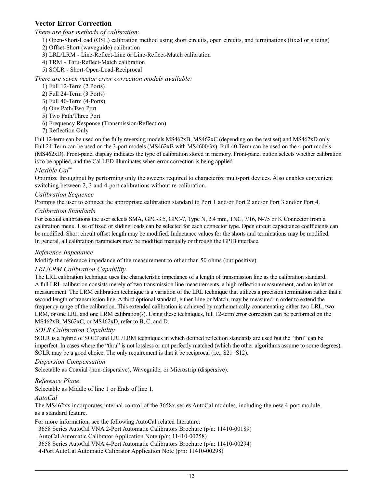# **Vector Error Correction**

*There are four methods of calibration:*

- 1) Open-Short-Load (OSL) calibration method using short circuits, open circuits, and terminations (fixed or sliding)
- 2) Offset-Short (waveguide) calibration
- 3) LRL/LRM Line-Reflect-Line or Line-Reflect-Match calibration
- 4) TRM Thru-Reflect-Match calibration
- 5) SOLR Short-Open-Load-Reciprocal

## *There are seven vector error correction models available:*

- 1) Full 12-Term (2 Ports)
- 2) Full 24-Term (3 Ports)
- 3) Full 40-Term (4-Ports)
- 4) One Path/Two Port
- 5) Two Path/Three Port
- 6) Frequency Response (Transmission/Reflection)
- 7) Reflection Only

Full 12-term can be used on the fully reversing models MS462xB, MS462xC (depending on the test set) and MS462xD only. Full 24-Term can be used on the 3-port models (MS462xB with MS4600/3x). Full 40-Term can be used on the 4-port models (MS462xD). Front-panel display indicates the type of calibration stored in memory. Front-panel button selects whether calibration is to be applied, and the Cal LED illuminates when error correction is being applied.

## *Flexible Cal™*

Optimize throughput by performing only the sweeps required to characterize mult-port devices. Also enables convenient switching between 2, 3 and 4-port calibrations without re-calibration.

## *Calibration Sequence*

Prompts the user to connect the appropriate calibration standard to Port 1 and/or Port 2 and/or Port 3 and/or Port 4.

## *Calibration Standards*

For coaxial calibrations the user selects SMA, GPC-3.5, GPC-7, Type N, 2.4 mm, TNC, 7/16, N-75 or K Connector from a calibration menu. Use of fixed or sliding loads can be selected for each connector type. Open circuit capacitance coefficients can be modified. Short circuit offset length may be modified. Inductance values for the shorts and terminations may be modified. In general, all calibration parameters may be modified manually or through the GPIB interface.

## *Reference Impedance*

Modify the reference impedance of the measurement to other than 50 ohms (but positive).

## *LRL/LRM Calibration Capability*

The LRL calibration technique uses the characteristic impedance of a length of transmission line as the calibration standard. A full LRL calibration consists merely of two transmission line measurements, a high reflection measurement, and an isolation measurement. The LRM calibration technique is a variation of the LRL technique that utilizes a precision termination rather that a second length of transmission line. A third optional standard, either Line or Match, may be measured in order to extend the frequency range of the calibration. This extended calibration is achieved by mathematically concatenating either two LRL, two LRM, or one LRL and one LRM calibration(s). Using these techniques, full 12-term error correction can be performed on the MS462xB, MS62xC, or MS462xD, refer to B, C, and D.

## *SOLR Calibration Capability*

SOLR is a hybrid of SOLT and LRL/LRM techniques in which defined reflection standards are used but the "thru" can be imperfect. In cases where the "thru" is not lossless or not perfectly matched (which the other algorithms assume to some degrees), SOLR may be a good choice. The only requirement is that it be reciprocal (i.e., S21=S12).

## *Dispersion Compensation*

Selectable as Coaxial (non-dispersive), Waveguide, or Microstrip (dispersive).

## *Reference Plane*

Selectable as Middle of line 1 or Ends of line 1.

## *AutoCal*

The MS462xx incorporates internal control of the 3658x-series AutoCal modules, including the new 4-port module, as a standard feature.

For more information, see the following AutoCal related literature:

3658 Series AutoCal VNA 2-Port Automatic Calibrators Brochure (p/n: 11410-00189)

AutoCal Automatic Calibrator Application Note (p/n: 11410-00258)

3658 Series AutoCal VNA 4-Port Automatic Calibrators Brochure (p/n: 11410-00294)

4-Port AutoCal Automatic Calibrator Application Note (p/n: 11410-00298)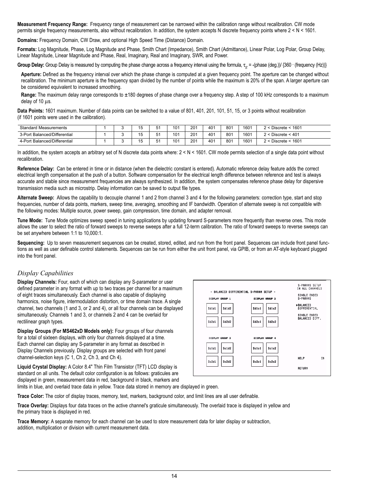**Measurement Frequency Range:** Frequency range of measurement can be narrowed within the calibration range without recalibration. CW mode permits single frequency measurements, also without recalibration. In addition, the system accepts N discrete frequency points where 2 < N < 1601.

**Domains:** Frequency Domain, CW Draw, and optional High Speed Time (Distance) Domain.

**Formats:** Log Magnitude, Phase, Log Magnitude and Phase, Smith Chart (Impedance), Smith Chart (Admittance), Linear Polar, Log Polar, Group Delay, Linear Magnitude, Linear Magnitude and Phase, Real, Imaginary, Real and Imaginary, SWR, and Power.

Group Delay: Group Delay is measured by computing the phase change across a frequency interval using the formula, τ<sub>α</sub> = -(phase (deg.))/ {360 · (frequency (Hz)}}

**Aperture:** Defined as the frequency interval over which the phase change is computed at a given frequency point. The aperture can be changed without recalibration. The minimum aperture is the frequency span divided by the number of points while the maximum is 20% of the span. A larger aperture can be considered equivalent to increased smoothing.

Range: The maximum delay range corresponds to ±180 degrees of phase change over a frequency step. A step of 100 kHz corresponds to a maximum delay of 10 µs.

**Data Points:** 1601 maximum. Number of data points can be switched to a value of 801, 401, 201, 101, 51, 15, or 3 points without recalibration (if 1601 points were used in the calibration).

| <b>Standard Measurements</b>               |  | $\overline{a}$<br>I J | 51<br>ັ  | 101             | 201 | 401 | 801 | 1601 | 1601<br>∴ Discrete        |
|--------------------------------------------|--|-----------------------|----------|-----------------|-----|-----|-----|------|---------------------------|
| <b>Balanced/Differential</b><br>$3-PortBz$ |  | $\sim$<br>U           | г 1<br>ັ | 10 <sup>1</sup> | 201 | 401 | 801 | 1601 | ~< 401<br>Discrete ·      |
| <b>Balanced/Differential</b><br>$4-Port$   |  | Ιu                    | 54       | 10 <sup>1</sup> | 201 | 401 | 801 | 1601 | < 1601<br><b>Discrete</b> |

In addition, the system accepts an arbitrary set of N discrete data points where:  $2 < N < 1601$ . CW mode permits selection of a single data point without recalibration.

**Reference Delay:** Can be entered in time or in distance (when the dielectric constant is entered). Automatic reference delay feature adds the correct electrical length compensation at the push of a button. Software compensation for the electrical length difference between reference and test is always accurate and stable since measurement frequencies are always synthesized. In addition, the system compensates reference phase delay for dispersive transmission media such as microstrip. Delay information can be saved to output file types.

**Alternate Sweep:** Allows the capability to decouple channel 1 and 2 from channel 3 and 4 for the following parameters: correction type, start and stop frequencies, number of data points, markers, sweep time, averaging, smoothing and IF bandwidth. Operation of alternate sweep is not compatible with the following modes: Multiple source, power sweep, gain compression, time domain, and adapter removal.

**Tune Mode:** Tune Mode optimizes sweep speed in tuning applications by updating forward S-parameters more frequently than reverse ones. This mode allows the user to select the ratio of forward sweeps to reverse sweeps after a full 12-term calibration. The ratio of forward sweeps to reverse sweeps can be set anywhere between 1:1 to 10,000:1.

**Sequencing:** Up to seven measurement sequences can be created, stored, edited, and run from the front panel. Sequences can include front panel functions as well as user definable control statements. Sequences can be run from either the unit front panel, via GPIB, or from an AT-style keyboard plugged into the front panel.

# *Display Capabilities*

**Display Channels:** Four, each of which can display any S-parameter or user defined parameter in any format with up to two traces per channel for a maximum of eight traces simultaneously. Each channel is also capable of displaying harmonics, noise figure, intermodulation distortion, or time domain trace. A single channel, two channels (1 and 3, or 2 and 4), or all four channels can be displayed simultaneously. Channels 1 and 3, or channels 2 and 4 can be overlaid for rectilinear graph types.

**Display Groups (For MS462xD Models only):** Four groups of four channels for a total of sixteen displays, with only four channels displayed at a time. Each channel can display any S-parameter in any format as described in Display Channels previously. Display groups are selected with front panel channel-selection keys (C 1, Ch 2, Ch 3, and Ch 4).

**Liquid Crystal Display:** A Color 8.4" Thin Film Transistor (TFT) LCD display is standard on all units. The default color configuration is as follows: graticules are displayed in green, measurement data in red, background in black, markers and

|                | DISPLAY GROUP 1          | - BALANCED DIFFERENTIAL S-PARAM SETUP -<br><b>DISPLAY GROUP 2</b> | S-PARAMS SETUP<br>IN ALL CHANNELS<br>SINGLE ENDED<br>S-PARAMS         |
|----------------|--------------------------|-------------------------------------------------------------------|-----------------------------------------------------------------------|
| Sd1d1<br>Sd2d1 | Sd1d2<br>Sd2d2           | Sd1c2<br>Sd1c1<br>Sd2c2<br>Sd2c1                                  | <b>&gt;BALANCED</b><br>DIFFERENTIAL<br>SINGLE ENDED<br>BALANCED DIFF. |
| Scidi          | DISPLAY GROUP 3<br>Sc1d2 | DISPLAY GROUP 4<br>Scici<br>Scic2                                 |                                                                       |
| Sc2d1          | Sc2d2                    | Sc2c2<br>Sc2c1                                                    | <b>HELP</b><br>ON<br><b>RETURN</b>                                    |

limits in blue, and overlaid trace data in yellow. Trace data stored in memory are displayed in green.

**Trace Color:** The color of display traces, memory, text, markers, background color, and limit lines are all user definable.

**Trace Overlay:** Displays four data traces on the active channel's graticule simultaneously. The overlaid trace is displayed in yellow and the primary trace is displayed in red.

**Trace Memory:** A separate memory for each channel can be used to store measurement data for later display or subtraction, addition, multiplication or division with current measurement data.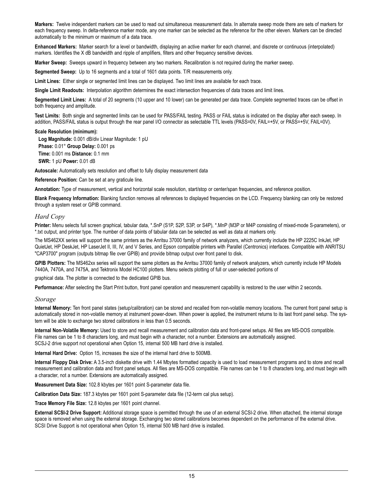**Markers:** Twelve independent markers can be used to read out simultaneous measurement data. In alternate sweep mode there are sets of markers for each frequency sweep. In delta-reference marker mode, any one marker can be selected as the reference for the other eleven. Markers can be directed automatically to the minimum or maximum of a data trace.

**Enhanced Markers:** Marker search for a level or bandwidth, displaying an active marker for each channel, and discrete or continuous (interpolated) markers. Identifies the X dB bandwidth and ripple of amplifiers, filters and other frequency sensitive devices.

**Marker Sweep:** Sweeps upward in frequency between any two markers. Recalibration is not required during the marker sweep.

**Segmented Sweep:** Up to 16 segments and a total of 1601 data points. T/R measurements only.

**Limit Lines:** Either single or segmented limit lines can be displayed. Two limit lines are available for each trace.

**Single Limit Readouts:** Interpolation algorithm determines the exact intersection frequencies of data traces and limit lines.

**Segmented Limit Lines:** A total of 20 segments (10 upper and 10 lower) can be generated per data trace. Complete segmented traces can be offset in both frequency and amplitude.

**Test Limits:** Both single and segmented limits can be used for PASS/FAIL testing. PASS or FAIL status is indicated on the display after each sweep. In addition, PASS/FAIL status is output through the rear panel I/O connector as selectable TTL levels (PASS=0V, FAIL=+5V, or PASS=+5V, FAIL=0V).

#### **Scale Resolution (minimum):**

**Log Magnitude:** 0.001 dB/div Linear Magnitude: 1 pU **Phase:** 0.01° **Group Delay:** 0.001 ps **Time:** 0.001 ms **Distance:** 0.1 mm **SWR:** 1 pU **Power:** 0.01 dB

**Autoscale:** Automatically sets resolution and offset to fully display measurement data

**Reference Position:** Can be set at any graticule line.

**Annotation:** Type of measurement, vertical and horizontal scale resolution, start/stop or center/span frequencies, and reference position.

**Blank Frequency Information:** Blanking function removes all references to displayed frequencies on the LCD. Frequency blanking can only be restored through a system reset or GPIB command.

#### *Hard Copy*

**Printer:** Menu selects full screen graphical, tabular data, \*.SnP (S1P, S2P, S3P, or S4P), \*.MnP (M3P or M4P consisting of mixed-mode S-parameters), or \*.txt output, and printer type. The number of data points of tabular data can be selected as well as data at markers only.

The MS462XX series will support the same printers as the Anritsu 37000 family of network analyzers, which currently include the HP 2225C InkJet, HP QuietJet, HP DeskJet, HP LaserJet II, III, IV, and V Series, and Epson compatible printers with Parallel (Centronics) interfaces. Compatible with ANRITSU "CAP3700" program (outputs bitmap file over GPIB) and provide bitmap output over front panel to disk.

**GPIB Plotters:** The MS462xx series will support the same plotters as the Anritsu 37000 family of network analyzers, which currently include HP Models 7440A, 7470A, and 7475A, and Tektronix Model HC100 plotters. Menu selects plotting of full or user-selected portions of

graphical data. The plotter is connected to the dedicated GPIB bus.

**Performance:** After selecting the Start Print button, front panel operation and measurement capability is restored to the user within 2 seconds.

#### *Storage*

**Internal Memory:** Ten front panel states (setup/calibration) can be stored and recalled from non-volatile memory locations. The current front panel setup is automatically stored in non-volatile memory at instrument power-down. When power is applied, the instrument returns to its last front panel setup. The system will be able to exchange two stored calibrations in less than 0.5 seconds.

**Internal Non-Volatile Memory:** Used to store and recall measurement and calibration data and front-panel setups. All files are MS-DOS compatible. File names can be 1 to 8 characters long, and must begin with a character, not a number. Extensions are automatically assigned. SCSJ-2 drive support not operational when Option 15, internal 500 MB hard drive is installed.

**Internal Hard Drive:** Option 15, increases the size of the internal hard drive to 500MB.

**Internal Floppy Disk Drive:** A 3.5-inch diskette drive with 1.44 Mbytes formatted capacity is used to load measurement programs and to store and recall measurement and calibration data and front panel setups. All files are MS-DOS compatible. File names can be 1 to 8 characters long, and must begin with a character, not a number. Extensions are automatically assigned.

**Measurement Data Size:** 102.8 kbytes per 1601 point S-parameter data file.

**Calibration Data Size:** 187.3 kbytes per 1601 point S-parameter data file (12-term cal plus setup).

**Trace Memory File Size:** 12.8 kbytes per 1601 point channel.

**External SCSI-2 Drive Support:** Additional storage space is permitted through the use of an external SCSI-2 drive. When attached, the internal storage space is removed when using the external storage. Exchanging two stored calibrations becomes dependent on the performance of the external drive. SCSI Drive Support is not operational when Option 15, internal 500 MB hard drive is installed.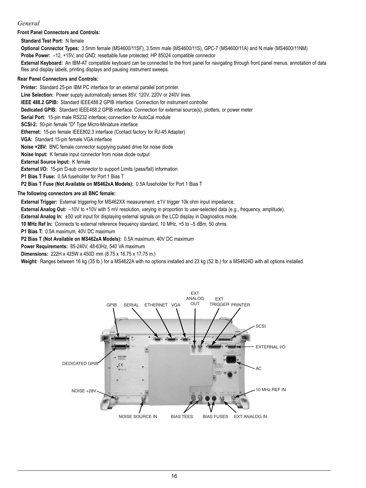## *General*

**Front Panel Connectors and Controls:**

**Standard Test Port:** N female

**Optional Connector Types:** 3.5mm female (MS4600/11SF), 3.5mm male (MS4600/11S), GPC-7 (MS4600/11A) and N male (MS4600/11NM)

**Probe Power:** –12, +15V, and GND; resettable fuse protected; HP 85024 compatible connector

**External Keyboard:** An IBM-AT compatible keyboard can be connected to the front panel for navigating through front panel menus, annotation of data files and display labels, printing displays and pausing instrument sweeps.

### **Rear Panel Connectors and Controls:**

**Printer:** Standard 25-pin IBM PC interface for an external parallel port printer. **Line Selection:** Power supply automatically senses 85V, 120V, 220V or 240V lines. **IEEE 488.2 GPIB:** Standard IEEE488.2 GPIB interface. Connection for instrument controller **Dedicated GPIB:** Standard IEEE488.2 GPIB interface. Connection for external source(s), plotters, or power meter **Serial Port: 15-pin male RS232 interface: connection for AutoCal module SCSI-2:** 50-pin female "D" Type Micro-Miniature interface **Ethernet:** 15-pin female IEEE802.3 interface (Contact factory for RJ-45 Adapter) **VGA:** Standard 15-pin female VGA interface **Noise +28V:** BNC female connector supplying pulsed drive for noise diode **Noise Input:** K female input connector from noise diode output **External Source Input:** K female **External I/O:** 15-pin D-sub connector to support Limits (pass/fail) information **P1 Bias T Fuse:** 0.5A fuseholder for Port 1 Bias T

**P2 Bias T Fuse (Not Available on MS462xA Models):** 0.5A fuseholder for Port 1 Bias T

#### **The following connectors are all BNC female:**

**External Trigger:** External triggering for MS462XX measurement, ±1V trigger 10k ohm input impedance.

**External Analog Out:** –10V to +10V with 5 mV resolution, varying in proportion to user-selected data (e.g., frequency, amplitude).

**External Analog In:** ±50 volt input for displaying external signals on the LCD display in Diagnostics mode.

**10 MHz Ref In:** Connects to external reference frequency standard, 10 MHz, +5 to –5 dBm, 50 ohms.

**P1 Bias T:** 0.5A maximum, 40V DC maximum

**P2 Bias T (Not Available on MS462xA Models):** 0.5A maximum, 40V DC maximum

**Power Requirements:** 85-240V, 48-63Hz, 540 VA maximum

**Dimensions:** 222H x 425W x 450D mm (8.75 x 16.75 x 17.75 in.)

**Weight:** Ranges between 16 kg (35 lb.) for a MS4622A with no options installed and 23 kg (52 lb.) for a MS4624D with all options installed.

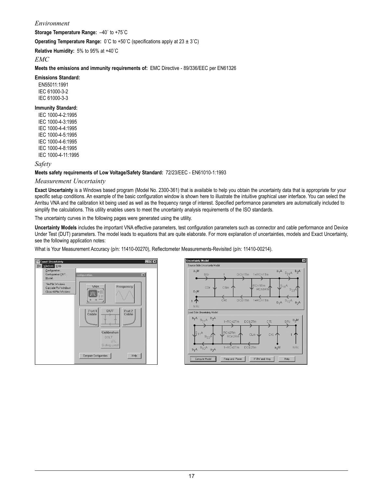## *Environment*

**Storage Temperature Range:** –40˚ to +75˚C

**Operating Temperature Range:** 0˚C to +50˚C (specifications apply at 23 ± 3˚C)

**Relative Humidity:** 5% to 95% at +40˚C

#### *EMC*

**Meets the emissions and immunity requirements of:** EMC Directive - 89/336/EEC per EN61326

**Emissions Standard:** EN55011:1991 IEC 61000-3-2 IEC 61000-3-3

#### **Immunity Standard:**

IEC 1000-4-2:1995 IEC 1000-4-3:1995 IEC 1000-4-4:1995 IEC 1000-4-5:1995 IEC 1000-4-6:1995 IEC 1000-4-8:1995 IEC 1000-4-11:1995

*Safety*

#### **Meets safety requirements of Low Voltage/Safety Standard:** 72/23/EEC - EN61010-1:1993

#### *Measurement Uncertainty*

**Exact Uncertainty** is a Windows based program (Model No. 2300-361) that is available to help you obtain the uncertainty data that is appropriate for your specific setup conditions. An example of the basic configuration window is shown here to illustrate the intuitive graphical user interface. You can select the Anritsu VNA and the calibration kit being used as well as the frequency range of interest. Specified performance parameters are automatically included to simplify the calculations. This utility enables users to meet the uncertainty analysis requirements of the ISO standards.

The uncertainty curves in the following pages were generated using the utility.

**Uncertainty Models** includes the important VNA effective parameters, test configuration parameters such as connector and cable performance and Device Under Test (DUT) parameters. The model leads to equations that are quite elaborate. For more explanation of uncertainties, models and Exact Uncertainty, see the following application notes:

What is Your Measurement Accuracy (p/n: 11410-00270), Reflectometer Measurements-Revisited (p/n: 11410-00214).



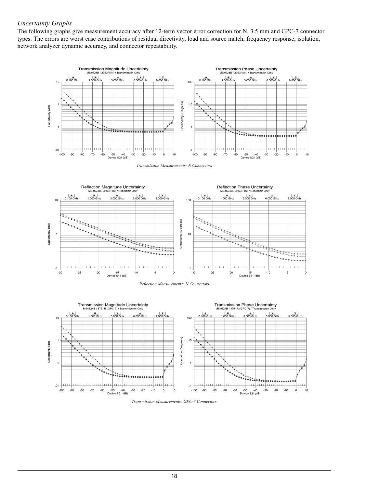## *Uncertainty Graphs*

The following graphs give measurement accuracy after 12-term vector error correction for N, 3.5 mm and GPC-7 connector types. The errors are worst case contributions of residual directivity, load and source match, frequency response, isolation, network analyzer dynamic accuracy, and connector repeatability.



*Transmission Measurements: N Connectors*







*Transmission Measurements: GPC-7 Connectors*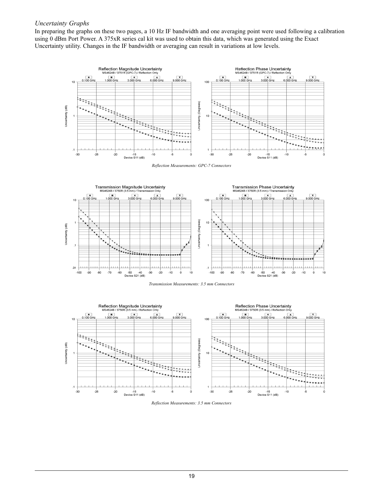## *Uncertainty Graphs*

In preparing the graphs on these two pages, a 10 Hz IF bandwidth and one averaging point were used following a calibration using 0 dBm Port Power. A 375xR series cal kit was used to obtain this data, which was generated using the Exact Uncertainty utility. Changes in the IF bandwidth or averaging can result in variations at low levels.



*Reflection Measurements: GPC-7 Connectors*







*Reflection Measurements: 3.5 mm Connectors*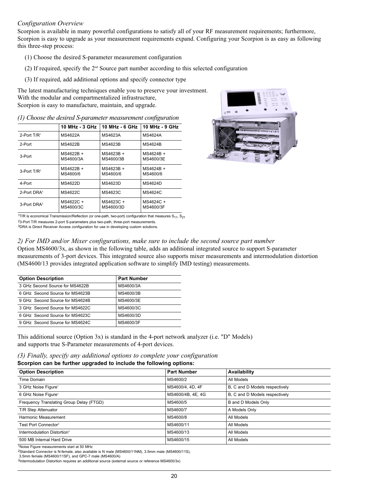## *Configuration Overview*

Scorpion is available in many powerful configurations to satisfy all of your RF measurement requirements; furthermore, Scorpion is easy to upgrade as your measurement requirements expand. Configuring your Scorpion is as easy as following this three-step process:

- (1) Choose the desired S-parameter measurement configuration
- (2) If required, specify the  $2<sup>nd</sup>$  Source part number according to this selected configuration
- (3) If required, add additional options and specify connector type

The latest manufacturing techniques enable you to preserve your investment. With the modular and compartmentalized infrastructure, Scorpion is easy to manufacture, maintain, and upgrade.

|                            | 10 MHz - $3$ GHz       | 10 MHz - $6$ GHz       | 10 MHz - 9 GHz         |
|----------------------------|------------------------|------------------------|------------------------|
| 2-Port $T/R$ <sup>1</sup>  | MS4622A                | MS4623A                | MS4624A                |
| 2-Port                     | MS4622B                | MS4623B                | MS4624B                |
| 3-Port                     | MS4622B +<br>MS4600/3A | MS4623B +<br>MS4600/3B | MS4624B +<br>MS4600/3E |
| $3$ -Port T/R <sup>2</sup> | MS4622B +<br>MS4600/6  | MS4623B +<br>MS4600/6  | MS4624B +<br>MS4600/6  |
| 4-Port                     | <b>MS4622D</b>         | MS4623D                | <b>MS4624D</b>         |
| 2-Port DRA <sup>3</sup>    | MS4622C                | MS4623C                | MS4624C                |
| 3-Port DRA <sup>3</sup>    | MS4622C+<br>MS4600/3C  | MS4623C +<br>MS4600/3D | MS4624C +<br>MS4600/3F |

*(1) Choose the desired S-parameter measurement configuration*



<sup>1</sup>T/R is economical Transmission/Reflection (or one-path, two-port) configuration that measures  $S_{11}$ ,  $S_{21}$ 

23-Port T/R measures 2-port S-parameters plus two-path, three-port measurements.

3DRA is Direct Receiver Access configuration for use in developing custom solutions.

## *2) For IMD and/or Mixer configurations, make sure to include the second source part number*

Option MS4600/3x, as shown in the following table, adds an additional integrated source to support S-parameter measurements of 3-port devices. This integrated source also supports mixer measurements and intermodulation distortion (MS4600/13 provides integrated application software to simplify IMD testing) measurements.

| <b>Option Description</b>       | <b>Part Number</b> |
|---------------------------------|--------------------|
| 3 GHz Second Source for MS4622B | MS4600/3A          |
| 6 GHz Second Source for MS4623B | MS4600/3B          |
| 9 GHz Second Source for MS4624B | MS4600/3E          |
| 3 GHz Second Source for MS4622C | MS4600/3C          |
| 6 GHz Second Source for MS4623C | MS4600/3D          |
| 9 GHz Second Source for MS4624C | MS4600/3F          |

This additional source (Option 3x) is standard in the 4-port network analyzer (i.e. "D" Models) and supports true S-Parameter measurements of 4-port devices.

*(3) Finally, specify any additional options to complete your configuration*

## **Scorpion can be further upgraded to include the following options:**

| <b>Option Description</b>                | <b>Part Number</b> | Availability                   |
|------------------------------------------|--------------------|--------------------------------|
| Time Domain                              | MS4600/2           | All Models                     |
| 3 GHz Noise Figure <sup>1</sup>          | MS4600/4, 4D, 4F   | B, C and D Models respectively |
| 6 GHz Noise Figure <sup>1</sup>          | MS4600/4B, 4E, 4G  | B, C and D Models respectively |
| Frequency Translating Group Delay (FTGD) | MS4600/5           | B and D Models Only            |
| T/R Step Attenuator                      | MS4600/7           | A Models Only                  |
| Harmonic Measurement                     | MS4600/8           | All Models                     |
| Test Port Connector <sup>2</sup>         | MS4600/11          | All Models                     |
| Intermodulation Distortion <sup>3</sup>  | MS4600/13          | All Models                     |
| 500 MB Internal Hard Drive               | MS4600/15          | All Models                     |

1Noise Figure measurements start at 50 MHz

2Standard Connector is N-female, also available is N male (MS4600/11NM), 3.5mm male (MS4600/11S),

3.5mm female (MS4600/11SF), and GPC-7 male (MS4600/A)

3Intermodulation Distortion requires an additional source (external source or reference MS4600/3x)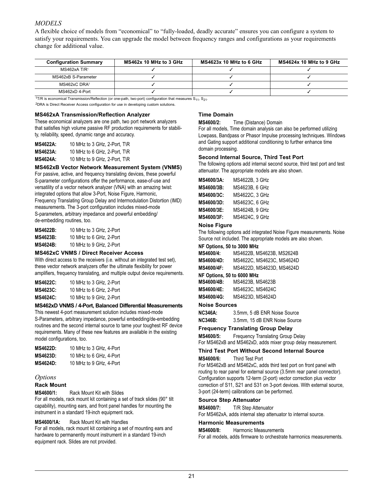## *MODELS*

A flexible choice of models from "economical" to "fully-loaded, deadly accurate" ensures you can configure a system to satisfy your requirements. You can upgrade the model between frequency ranges and configurations as your requirements change for additional value.

| <b>Configuration Summary</b> | MS462x 10 MHz to 3 GHz | MS4623x 10 MHz to 6 GHz | MS4624x 10 MHz to 9 GHz |
|------------------------------|------------------------|-------------------------|-------------------------|
| $MS462xA$ T/R <sup>1</sup>   |                        |                         |                         |
| MS462xB S-Parameter          |                        |                         |                         |
| $MS462xC$ DRA <sup>2</sup>   |                        |                         |                         |
| MS462xD 4-Port               |                        |                         |                         |

 $17/R$  is economical Transmission/Reflection (or one-path, two-port) configuration that measures  $S_{11}$ ,  $S_{21}$ .

2DRA is Direct Receiver Access configuration for use in developing custom solutions.

#### **MS462xA Transmission/Reflection Analyzer**

These economical analyzers are one path, two port network analyzers that satisfies high volume passive RF production requirements for stability, reliability, speed, dynamic range and accuracy.

| <b>MS4622A:</b> | 10 MHz to 3 GHz. 2-Port. T\R |
|-----------------|------------------------------|
| <b>MS4623A:</b> | 10 MHz to 6 GHz, 2-Port, T\R |
| <b>MS4624A:</b> | 10 MHz to 9 GHz, 2-Port, T\R |

#### **MS462xB Vector Network Measurement System (VNMS)**

For passive, active, and frequency translating devices, these powerful S-parameter configurations offer the performance, ease-of-use and versatility of a vector network analyzer (VNA) with an amazing twist: integrated options that allow 3-Port, Noise Figure, Harmonic, Frequency Translating Group Delay and Intermodulation Distortion (IMD) measurements. The 3-port configuration includes mixed-mode S-parameters, arbitrary impedance and powerful embedding/ de-embedding routines, too.

| MS4622B: | 10 MHz to 3 GHz, 2-Port |
|----------|-------------------------|
| MS4623B: | 10 MHz to 6 GHz, 2-Port |
| MS4624B: | 10 MHz to 9 GHz, 2-Port |

#### **MS462xC VNMS / Direct Receiver Access**

With direct access to the receivers (i.e. without an integrated test set), these vector network analyzers offer the ultimate flexibility for power amplifiers, frequency translating, and multiple output device requirements.

| MS4622C: | 10 MHz to 3 GHz, 2-Port |
|----------|-------------------------|
| MS4623C: | 10 MHz to 6 GHz, 2-Port |
| MS4624C: | 10 MHz to 9 GHz, 2-Port |

#### **MS462xD VNMS / 4-Port, Balanced Differential Measurements**

This newest 4-port measurement solution includes mixed-mode S-Parameters, arbitrary impedance, powerful embedding/de-embedding routines and the second internal source to tame your toughest RF device requirements. Many of these new features are available in the existing model configurations, too.

| MS4622D: | 10 MHz to 3 GHz, 4-Port |
|----------|-------------------------|
| MS4623D: | 10 MHz to 6 GHz, 4-Port |
| MS4624D: | 10 MHz to 9 GHz, 4-Port |

#### *Options*

#### **Rack Mount**

**MS4600/1:** Rack Mount Kit with Slides

For all models, rack mount kit containing a set of track slides (90° tilt capability), mounting ears, and front panel handles for mounting the instrument in a standard 19-inch equipment rack.

#### **MS4600/1A:** Rack Mount Kit with Handles

For all models, rack mount kit containing a set of mounting ears and hardware to permanently mount instrument in a standard 19-inch equipment rack. Slides are not provided.

#### **Time Domain**

**MS4600/2:** Time (Distance) Domain

For all models, Time domain analysis can also be performed utilizing Lowpass, Bandpass or Phasor Impulse processing techniques. Windows and Gating support additional conditioning to further enhance time domain processing.

#### **Second Internal Source, Third Test Port**

The following options add internal second source, third test port and test attenuator. The appropriate models are also shown.

| MS4600/3A:        | MS4622B. 3 GHz |
|-------------------|----------------|
| MS4600/3B:        | MS4623B, 6 GHz |
| MS4600/3C:        | MS4622C, 3 GHz |
| MS4600/3D:        | MS4623C, 6 GHz |
| <b>MS4600/3E:</b> | MS4624B, 9 GHz |
| <b>MS4600/3F:</b> | MS4624C, 9 GHz |

#### **Noise Figure**

The following options add integrated Noise Figure measurements. Noise Source not included. The appropriate models are also shown.

#### **NF Options, 50 to 3000 MHz**

| <b>MS4600/4:</b>  | MS4622B. MS4623B. MS2624B |
|-------------------|---------------------------|
| <b>MS4600/4D:</b> | MS4622C. MS4623C. MS4624D |
| <b>MS4600/4F:</b> | MS4622D, MS4623D, MS4624D |

#### **NF Options, 50 to 6000 MHz**

| <b>MS4600/4B:</b> | MS4623B. MS4623B |
|-------------------|------------------|
| <b>MS4600/4E:</b> | MS4623C, MS4624C |
| <b>MS4600/4G:</b> | MS4623D, MS4624D |

#### **Noise Sources**

| <b>NC346A:</b> | 3.5mm, 5 dB ENR Noise Source  |
|----------------|-------------------------------|
| <b>NC346B:</b> | 3.5mm, 15 dB ENR Noise Source |

#### **Frequency Translating Group Delay**

**MS4600/5:** Frequency Translating Group Delay For MS462xB and MS462xD, adds mixer group delay measurement.

#### **Third Test Port Without Second Internal Source**

**MS4600/6:** Third Test Port

For MS462xB and MS462xC, adds third test port on front panel with routing to rear panel for external source (3.5mm rear panel connector). Configuration supports 12-term (2-port) vector correction plus vector correction of S11, S21 and S31 on 3-port devices. With external source, 3-port (24-term) calibrations can be performed.

#### **Source Step Attenuator**

**MS4600/7:** T/R Step Attenuator For MS462xA, adds internal step attenuator to internal source.

#### **Harmonic Measurements**

**MS4600/8:** Harmonic Measurements For all models, adds firmware to orchestrate harmonics measurements.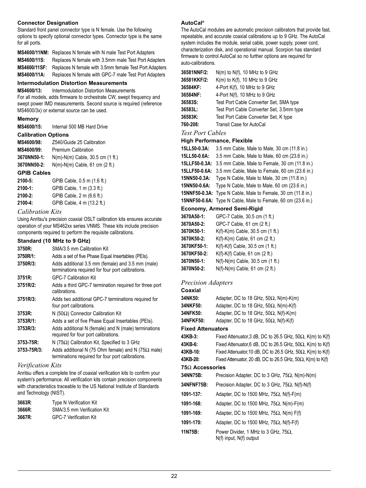#### **Connector Designation**

Standard front panel connector type is N female. Use the following options to specify optional connector types. Connector type is the same for all ports.

|                     | <b>MS4600/11NM:</b> Replaces N female with N male Test Port Adapters |
|---------------------|----------------------------------------------------------------------|
| MS4600/11S:         | Replaces N female with 3.5mm male Test Port Adapters                 |
| <b>MS4600/11SF:</b> | Replaces N female with 3.5mm female Test Port Adapters               |
| MS4600/11A:         | Replaces N female with GPC-7 male Test Port Adapters                 |

#### **Intermodulation Distortion Measurements**

**MS4600/13:** Intermodulation Distortion Measurements

For all models, adds firmware to orchestrate CW, swept frequency and swept power IMD measurements. Second source is required (reference MS4600/3x) or external source can be used.

#### **Memory**

**MS4600/15:** Internal 500 MB Hard Drive

#### **Calibration Options**

| Z540/Guide 25 Calibration          |
|------------------------------------|
| <b>Premium Calibration</b>         |
| $N(m)-N(m)$ Cable, 30.5 cm (1 ft.) |
| $N(m)-N(m)$ Cable, 61 cm (2 ft.)   |
|                                    |

## **GPIB Cables**

| 2100-5: | GPIB Cable, 0.5 m (1.6 ft.) |
|---------|-----------------------------|
| 2100-1: | GPIB Cable, 1 m (3.3 ft.)   |
| 2100-2: | GPIB Cable, 2 m (6.6 ft.)   |
| 2100-4: | GPIB Cable, 4 m (13.2 ft.)  |

## *Calibration Kits*

Using Anritsu's precision coaxial OSLT calibration kits ensures accurate operation of your MS462xx series VNMS. These kits include precision components required to perform the requisite calibrations.

#### **Standard (10 MHz to 9 GHz)**

| 3750R:<br>3750R/1:<br>3750R/3: | SMA/3.5 mm Calibration Kit<br>Adds a set of five Phase Equal Insertables (PEIs).<br>Adds additional 3.5 mm (female) and 3.5 mm (male)<br>terminations required for four port calibrations. |
|--------------------------------|--------------------------------------------------------------------------------------------------------------------------------------------------------------------------------------------|
| 3751R:                         | <b>GPC-7 Calibration Kit</b>                                                                                                                                                               |
| 3751R/2:                       | Adds a third GPC-7 termination required for three port<br>calibrations.                                                                                                                    |
| 3751R/3:                       | Adds two additional GPC-7 terminations required for<br>four port calibrations.                                                                                                             |
| 3753R:                         | N (50 $\Omega$ ) Connector Calibration Kit                                                                                                                                                 |
| 3753R/1:                       | Adds a set of five Phase Equal Insertables (PEIs).                                                                                                                                         |
| 3753R/3:                       | Adds additional N (female) and N (male) terminations<br>required for four port calibrations.                                                                                               |
| 3753-75R:<br>3753-75R/3:       | N (75 $\Omega$ ) Calibration Kit, Specified to 3 GHz<br>Adds additional N (75 Ohm female) and N (75 $\Omega$ male)<br>terminations required for four port calibrations.                    |

#### *Verification Kits*

Anritsu offers a complete line of coaxial verification kits to confirm your system's performance. All verification kits contain precision components with characteristics traceable to the US National Institute of Standards and Technology (NIST).

| 3663R: | <b>Type N Verification Kit</b> |
|--------|--------------------------------|
| 3666R: | SMA/3.5 mm Verification Kit    |
| 3667R: | <b>GPC-7 Verification Kit</b>  |

#### **AutoCal®**

The AutoCal modules are automatic precision calibrators that provide fast, repeatable, and accurate coaxial calibrations up to 9 GHz. The AutoCal system includes the module, serial cable, power supply, power cord, characterization disk, and operational manual. Scorpion has standard firmware to control AutoCal so no further options are required for auto-calibrations.

| 36581NNF/2:                 | $N(m)$ to $N(f)$ , 10 MHz to 9 GHz                                  |  |
|-----------------------------|---------------------------------------------------------------------|--|
| 36581KKF/2:                 | $K(m)$ to $K(f)$ , 10 MHz to 9 GHz                                  |  |
| 36584KF:                    | 4-Port K(f), 10 MHz to 9 GHz                                        |  |
| 36584NF:                    | 4-Port N(f), 10 MHz to 9 GHz                                        |  |
| 36583S:                     | Test Port Cable Converter Set, SMA type                             |  |
| 36583L:                     | Test Port Cable Converter Set, 3.5mm type                           |  |
| 36583K:                     | Test Port Cable Converter Set, K type                               |  |
| 760-208:                    | Transit Case for AutoCal                                            |  |
| <b>Test Port Cables</b>     |                                                                     |  |
|                             | <b>High Performance, Flexible</b>                                   |  |
| 15LL50-0.3A:                | 3.5 mm Cable, Male to Male, 30 cm (11.8 in.)                        |  |
| 15LL50-0.6A:                | 3.5 mm Cable, Male to Male, 60 cm (23.6 in.)                        |  |
| 15LLF50-0.3A:               | 3.5 mm Cable, Male to Female, 30 cm (11.8 in.)                      |  |
| 15LLF50-0.6A:               | 3.5 mm Cable, Male to Female, 60 cm (23.6 in.)                      |  |
| 15NN50-0.3A:                | Type N Cable, Male to Male, 30 cm (11.8 in.)                        |  |
| 15NN50-0.6A:                | Type N Cable, Male to Male, 60 cm (23.6 in.)                        |  |
|                             | <b>15NNF50-0.3A:</b> Type N Cable, Male to Female, 30 cm (11.8 in.) |  |
|                             | <b>15NNF50-0.6A:</b> Type N Cable, Male to Female, 60 cm (23.6 in.) |  |
| Economy, Armored Semi-Rigid |                                                                     |  |
|                             |                                                                     |  |

| 3670A50-1:  | GPC-7 Cable, 30.5 cm (1 ft.)     |
|-------------|----------------------------------|
| 3670A50-2:  | GPC-7 Cable, 61 cm (2 ft.)       |
| 3670K50-1:  | K(f)-K(m) Cable, 30.5 cm (1 ft.) |
| 3670K50-2:  | K(f)-K(m) Cable, 61 cm (2 ft.)   |
| 3670KF50-1: | K(f)-K(f) Cable, 30.5 cm (1 ft.) |
| 3670KF50-2: | K(f)-K(f) Cable, 61 cm (2 ft.)   |
| 3670N50-1:  | N(f)-N(m) Cable, 30.5 cm (1 ft.) |
| 3670N50-2:  | N(f)-N(m) Cable, 61 cm (2 ft.)   |
|             |                                  |

### *Precision Adapters*

| Coaxial   |                                                |
|-----------|------------------------------------------------|
| 34NK50:   | Adapter, DC to 18 GHz, $50\Omega$ , N(m)-K(m)  |
| 34NKF50:  | Adapter, DC to 18 GHz, $50\Omega$ , N(m)-K(f)  |
| 34NFK50:  | Adapter, DC to 18 GHz, $50\Omega$ , N(f)-K(m)  |
| 34NFKF50: | Adapter, DC to 18 GHz, 50 $\Omega$ , N(f)-K(f) |
|           |                                                |

## **Fixed Attenuators**

| 43KB-3:                | Fixed Attenuator, 3 dB, DC to 26.5 GHz, $50\Omega$ , K(m) to K(f)       |  |
|------------------------|-------------------------------------------------------------------------|--|
| 43KB-6:                | Fixed Attenuator, 6 dB, DC to 26.5 GHz, $50\Omega$ , K(m) to K(f)       |  |
| 43KB-10:               | Fixed Attenuator, 10 dB, DC to 26.5 GHz, $50\Omega$ , K(m) to K(f)      |  |
| 43KB-20:               | Fixed Attenuator, 20 dB, DC to 26.5 GHz, 50 $\Omega$ , K(m) to K(f)     |  |
| $75\Omega$ Accessories |                                                                         |  |
| 34NN75B:               | Precision Adapter, DC to 3 GHz, $75\Omega$ , N(m)-N(m)                  |  |
| 34NFNF75B:             | Precision Adapter, DC to 3 GHz, $75\Omega$ , N(f)-N(f)                  |  |
| 1091-137:              | Adapter, DC to 1500 MHz, 75 $\Omega$ , N(f)-F(m)                        |  |
| 1091-168:              | Adapter, DC to 1500 MHz, 75 $\Omega$ , N(m)-F(m)                        |  |
| 1091-169:              | Adapter, DC to 1500 MHz, 75 $\Omega$ , N(m) F(f)                        |  |
| 1091-170:              | Adapter, DC to 1500 MHz, 75 $\Omega$ , N(f)-F(f)                        |  |
| 11N75B:                | Power Divider, 1 MHz to 3 GHz, 75 $\Omega$ ,<br>N(f) input, N(f) output |  |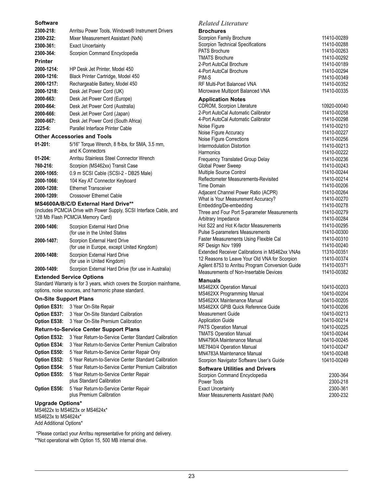#### **Software**

| 2300-218:      | Anritsu Power Tools, Windows® Instrument Drivers                    |
|----------------|---------------------------------------------------------------------|
| 2300-232:      | Mixer Measurement Assistant (NxN)                                   |
| 2300-361:      | <b>Exact Uncertainty</b>                                            |
| 2300-364:      | Scorpion Command Encyclopedia                                       |
| <b>Printer</b> |                                                                     |
| 2000-1214:     | HP Desk Jet Printer, Model 450                                      |
| 2000-1216:     | Black Printer Cartridge, Model 450                                  |
| 2000-1217:     | Rechargeable Battery, Model 450                                     |
| 2000-1218:     | Desk Jet Power Cord (UK)                                            |
| 2000-663:      | Desk Jet Power Cord (Europe)                                        |
| 2000-664:      | Desk Jet Power Cord (Australia)                                     |
| 2000-666:      | Desk Jet Power Cord (Japan)                                         |
| 2000-667:      | Desk Jet Power Cord (South Africa)                                  |
| $2225 - 6$ :   | Parallel Interface Printer Cable                                    |
|                | <b>Other Accessories and Tools</b>                                  |
| $01 - 201$ :   | 5/16" Torque Wrench, 8 ft-lbs, for SMA, 3.5 mm,<br>and K Connectors |
| $01 - 204$ :   | Anritsu Stainless Steel Connector Wrench                            |
| 760-216:       | Scorpion (MS462xx) Transit Case                                     |
| 2000-1065:     | 0.9 m SCSI Cable (SCSI-2 - DB25 Male)                               |
| 2000-1066:     | 104 Key AT Connector Keyboard                                       |
| 2000-1208:     | <b>Ethernet Transceiver</b>                                         |
| 2000-1209:     | <b>Crossover Ethernet Cable</b>                                     |

#### **MS4600A/B/C/D External Hard Drive\*\***

(includes PCMCIA Drive with Power Supply, SCSI Interface Cable, and 128 Mb Flash PCMCIA Memory Card)

| 2000-1406: | Scorpion External Hard Drive<br>(for use in the United States              |
|------------|----------------------------------------------------------------------------|
| 2000-1407: | Scorpion External Hard Drive<br>(for use in Europe, except United Kingdom) |
| 2000-1408: | Scorpion External Hard Drive<br>(for use in United Kingdom)                |
|            |                                                                            |

**2000-1409:** Scorpion External Hard Drive (for use in Australia)

#### **Extended Service Options**

Standard Warranty is for 3 years, which covers the Scorpion mainframe, options, noise sources, and harmonic phase standard.

#### **On-Site Support Plans**

| <b>Option ES31:</b> | 3 Year On-Site Repair |
|---------------------|-----------------------|
|---------------------|-----------------------|

- **Option ES37:** 3 Year On-Site Standard Calibration
- **Option ES38:** 3 Year On-Site Premium Calibration

#### **Return-to-Service Center Support Plans**

**Option ES32:** 3 Year Return-to-Service Center Standard Calibration **Option ES34:** 3 Year Return-to-Service Center Premium Calibration **Option ES50:** 5 Year Return-to-Service Center Repair Only **Option ES52:** 5 Year Return-to-Service Center Standard Calibration **Option ES54:** 5 Year Return-to-Service Center Premium Calibration **Option ES55:** 5 Year Return-to-Service Center Repair plus Standard Calibration **Option ES56:** 5 Year Return-to-Service Center Repair plus Premium Calibration

# **Upgrade Options\***

MS4622x to MS4623x or MS4624x\* MS4623x to MS4624x\* Add Additional Options\*

\*Please contact your Anritsu representative for pricing and delivery. \*\*Not operational with Option 15, 500 MB internal drive.

#### *Related Literature*

**Brochures**

| Scorpion Family Brochure                              | 11410-00289                |
|-------------------------------------------------------|----------------------------|
| Scorpion Technical Specifications                     | 11410-00288                |
| <b>PATS Brochure</b>                                  | 11410-00263                |
| <b>TMATS Brochure</b>                                 | 11410-00292                |
| 2-Port AutoCal Brochure                               | 11410-00189                |
| 4-Port AutoCal Brochure                               | 11410-00294                |
| PIM-S                                                 | 11410-00349                |
| RF Multi-Port Balanced VNA                            | 11410-00352                |
| Microwave Multiport Balanced VNA                      | 11410-00335                |
| <b>Application Notes</b>                              |                            |
| CDROM, Scorpion Literature                            | 10920-00040                |
| 2-Port AutoCal Automatic Calibrator                   | 11410-00258                |
| 4-Port AutoCal Automatic Calibrator                   | 11410-00298                |
| Noise Figure                                          | 11410-00210                |
| Noise Figure Accuracy                                 | 11410-00227                |
| Noise Figure Corrections                              | 11410-00256                |
| Intermodulation Distortion                            | 11410-00213                |
| Harmonics                                             | 11410-00222                |
| Frequency Translated Group Delay                      | 11410-00236                |
| Global Power Sweep                                    | 11410-00243                |
| Multiple Source Control                               | 11410-00244                |
| Reflectometer Measurements-Revisited                  | 11410-00214                |
| Time Domain                                           | 11410-00206                |
| Adjacent Channel Power Ratio (ACPR)                   | 11410-00264                |
| What is Your Measurement Accuracy?                    | 11410-00270                |
| Embedding/De-embedding                                | 11410-00278                |
| Three and Four Port S-parameter Measurements          | 11410-00279                |
| Arbitrary Impedance                                   | 11410-00284                |
| Hot S22 and Hot K-factor Measurements                 | 11410-00295                |
| Pulse S-parameters Measurements                       | 11410-00300                |
| Faster Measurements Using Flexible Cal                | 11410-00310                |
| RF Design Nov 1999                                    | 11410-00240                |
| <b>Extended Receiver Calibrations in MS462xx VNAs</b> | 11310-00351                |
| 12 Reasons to Leave Your Old VNA for Scorpion         | 11410-00374                |
| Agilent 8753 to Anritsu Program Conversion Guide      | 11410-00371                |
| Measurements of Non-Insertable Devices                | 11410-00382                |
| Manuals                                               |                            |
| MS462XX Operation Manual                              | 10410-00203                |
| MS462XX Programming Manual                            | 10410-00204                |
| MS462XX Maintenance Manual                            | 10410-00205                |
| MS462XX GPIB Quick Reference Guide                    | 10410-00206                |
| Measurement Guide                                     | 10410-00213                |
| <b>Application Guide</b>                              | 10410-00214                |
| PATS Operation Manual                                 | 10410-00225                |
| <b>TMATS Operation Manual</b>                         | 10410-00244                |
| MN4790A Maintenance Manual                            | 10410-00245                |
| ME7840/4 Operation Manual                             | 10410-00247                |
| MN4783A Maintenance Manual                            | 10410-00248<br>10410-00249 |
| Scorpion Navigator Software User's Guide              |                            |
| <b>Software Utilities and Drivers</b>                 |                            |

| Scorpion Command Encyclopedia      | 2300-364 |
|------------------------------------|----------|
| Power Tools                        | 2300-218 |
| <b>Exact Uncertainty</b>           | 2300-361 |
| Mixer Measurements Assistant (NxN) | 2300-232 |
|                                    |          |